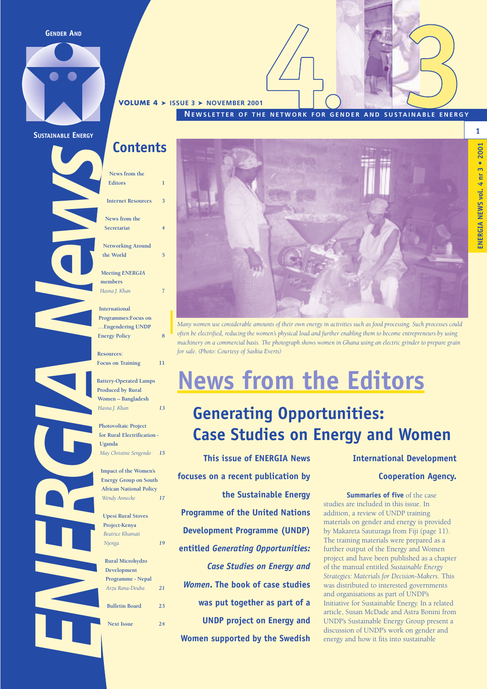**GENDER AND**



**SUSTAINABLE ENERGY**

### **Contents**

**VOLUME 4** ➤ **ISSUE 3** ➤ **NOVEMBER 2001**

**News from the Editors 1 Internet Resources 3 News from the** 

**Networking Around the World 5** 

**Secretariat 4**

**Meeting** *ENERGIA* **members** *Hasna J. Khan* **7** 

**International Programmes:Focus on …Engendering UNDP Energy Policy 8**

**Resources: Focus on Training 11** 

ENERGIA NEWS **Battery-Operated Lamps Produced by Rural Women – Bangladesh** *Hasna J. Khan 13*

**Photovoltaic Project for Rural Electrification - Uganda** *May Christine Sengendo 15*

**Impact of the Women's Energy Group on South African National Policy** *Wendy Annecke 17* 

**Upesi Rural Stoves Project-Kenya** *Beatrice Khamati Njenga 19*

**Rural Microhydro Development Programme - Nepal** *Arzu Rana-Deuba 21*  **Bulletin Board 23 Next Issue 24**



**NEWSLETTER OF THE NETWORK FOR GENDER AND SUSTAINABLE ENERGY**

*Many women use considerable amounts of their own energy in activities such as food processing. Such processes could often be electrified, reducing the women's physical load and further enabling them to become entrepreneurs by using machinery on a commercial basis. The photograph shows women in Ghana using an electric grinder to prepare grain for sale. (Photo: Courtesy of Saskia Everts)*

### **News from the Editors**

### **Generating Opportunities: Case Studies on Energy and Women**

**This issue of ENERGIA News focuses on a recent publication by the Sustainable Energy Programme of the United Nations Development Programme (UNDP) entitled** *Generating Opportunities: Case Studies on Energy and Women***. The book of case studies was put together as part of a UNDP project on Energy and Women supported by the Swedish** **International Development**

#### **Cooperation Agency.**

**Summaries of five** of the case studies are included in this issue. In addition, a review of UNDP training materials on gender and energy is provided by Makareta Sauturaga from Fiji (page 11). The training materials were prepared as a further output of the Energy and Women project and have been published as a chapter of the manual entitled *Sustainable Energy Strategies: Materials for Decision-Makers*. This was distributed to interested governments and organisations as part of UNDP's Initiative for Sustainable Energy. In a related article, Susan McDade and Astra Bonini from UNDP's Sustainable Energy Group present a discussion of UNDP's work on gender and energy and how it fits into sustainable

# **1**  $3 • 2001$ **ENERGIA NEWS vol. 4 nr 3 • 2001** ENERGIA NEWS vol. 4 nr 3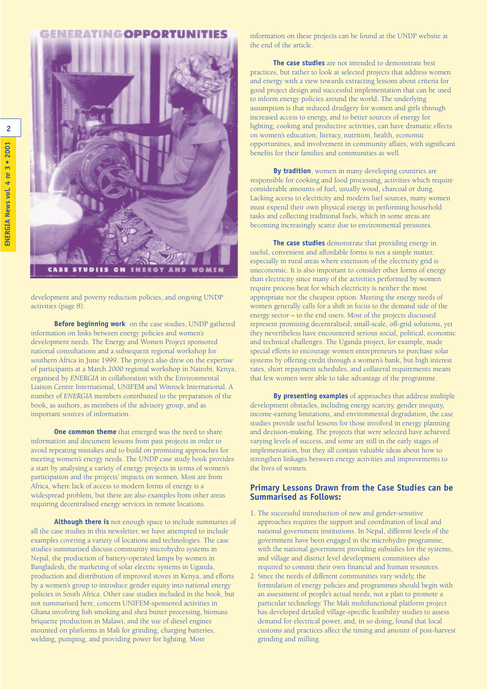#### **EMEDATIMGODDODTIINITIE**



development and poverty reduction policies, and ongoing UNDP activities (page 8).

**Before beginning work** on the case studies, UNDP gathered information on links between energy policies and women's development needs. The Energy and Women Project sponsored national consultations and a subsequent regional workshop for southern Africa in June 1999. The project also drew on the expertise of participants at a March 2000 regional workshop in Nairobi, Kenya, organised by *ENERGIA* in collaboration with the Environmental Liaison Centre International, UNIFEM and Winrock International. A number of *ENERGIA* members contributed to the preparation of the book, as authors, as members of the advisory group, and as important sources of information.

**One common theme** that emerged was the need to share information and document lessons from past projects in order to avoid repeating mistakes and to build on promising approaches for meeting women's energy needs. The UNDP case study book provides a start by analysing a variety of energy projects in terms of women's participation and the projects' impacts on women. Most are from Africa, where lack of access to modern forms of energy is a widespread problem, but there are also examples from other areas requiring decentralised energy services in remote locations.

**Although there is** not enough space to include summaries of all the case studies in this newsletter, we have attempted to include examples covering a variety of locations and technologies. The case studies summarised discuss community microhydro systems in Nepal, the production of battery-operated lamps by women in Bangladesh, the marketing of solar electric systems in Uganda, production and distribution of improved stoves in Kenya, and efforts by a women's group to introduce gender equity into national energy policies in South Africa. Other case studies included in the book, but not summarised here, concern UNIFEM-sponsored activities in Ghana involving fish smoking and shea butter processing, biomass briquette production in Malawi, and the use of diesel engines mounted on platforms in Mali for grinding, charging batteries, welding, pumping, and providing power for lighting. More

information on these projects can be found at the UNDP website at the end of the article.

**The case studies** are not intended to demonstrate best practices, but rather to look at selected projects that address women and energy with a view towards extracting lessons about criteria for good project design and successful implementation that can be used to inform energy policies around the world. The underlying assumption is that reduced drudgery for women and girls through increased access to energy, and to better sources of energy for lighting, cooking and productive activities, can have dramatic effects on women's education, literacy, nutrition, health, economic opportunities, and involvement in community affairs, with significant benefits for their families and communities as well.

**By tradition**, women in many developing countries are responsible for cooking and food processing, activities which require considerable amounts of fuel, usually wood, charcoal or dung. Lacking access to electricity and modern fuel sources, many women must expend their own physical energy in performing household tasks and collecting traditional fuels, which in some areas are becoming increasingly scarce due to environmental pressures.

**The case studies** demonstrate that providing energy in useful, convenient and affordable forms is not a simple matter, especially in rural areas where extension of the electricity grid is uneconomic. It is also important to consider other forms of energy than electricity since many of the activities performed by women require process heat for which electricity is neither the most appropriate nor the cheapest option. Meeting the energy needs of women generally calls for a shift in focus to the demand side of the energy sector – to the end users. Most of the projects discussed represent promising decentralised, small-scale, off-grid solutions, yet they nevertheless have encountered serious social, political, economic and technical challenges. The Uganda project, for example, made special efforts to encourage women entrepreneurs to purchase solar systems by offering credit through a women's bank, but high interest rates, short repayment schedules, and collateral requirements meant that few women were able to take advantage of the programme.

**By presenting examples** of approaches that address multiple development obstacles, including energy scarcity, gender inequity, income-earning limitations, and environmental degradation, the case studies provide useful lessons for those involved in energy planning and decision-making. The projects that were selected have achieved varying levels of success, and some are still in the early stages of implementation, but they all contain valuable ideas about how to strengthen linkages between energy activities and improvements to the lives of women.

#### **Primary Lessons Drawn from the Case Studies can be Summarised as Follows:**

- 1. The successful introduction of new and gender-sensitive approaches requires the support and coordination of local and national government institutions. In Nepal, different levels of the government have been engaged in the microhydro programme, with the national government providing subsidies for the systems, and village and district level development committees also required to commit their own financial and human resources.
- 2. Since the needs of different communities vary widely, the formulation of energy policies and programmes should begin with an assessment of people's actual needs, not a plan to promote a particular technology. The Mali multifunctional platform project has developed detailed village-specific feasibility studies to assess demand for electrical power, and, in so doing, found that local customs and practices affect the timing and amount of post-harvest grinding and milling.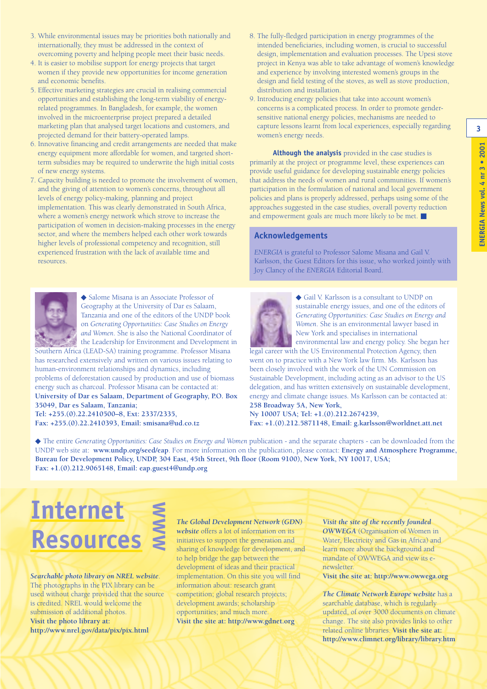- 3. While environmental issues may be priorities both nationally and internationally, they must be addressed in the context of overcoming poverty and helping people meet their basic needs.
- 4. It is easier to mobilise support for energy projects that target women if they provide new opportunities for income generation and economic benefits.
- 5. Effective marketing strategies are crucial in realising commercial opportunities and establishing the long-term viability of energyrelated programmes. In Bangladesh, for example, the women involved in the microenterprise project prepared a detailed marketing plan that analysed target locations and customers, and projected demand for their battery-operated lamps.
- 6. Innovative financing and credit arrangements are needed that make energy equipment more affordable for women, and targeted shortterm subsidies may be required to underwrite the high initial costs of new energy systems.
- 7. Capacity building is needed to promote the involvement of women, and the giving of attention to women's concerns, throughout all levels of energy policy-making, planning and project implementation. This was clearly demonstrated in South Africa, where a women's energy network which strove to increase the participation of women in decision-making processes in the energy sector, and where the members helped each other work towards higher levels of professional competency and recognition, still experienced frustration with the lack of available time and resources.



◆ Salome Misana is an Associate Professor of Geography at the University of Dar es Salaam, Tanzania and one of the editors of the UNDP book on *Generating Opportunities: Case Studies on Energy and Women*. She is also the National Coordinator of the Leadership for Environment and Development in

Southern Africa (LEAD-SA) training programme. Professor Misana has researched extensively and written on various issues relating to human-environment relationships and dynamics, including problems of deforestation caused by production and use of biomass energy such as charcoal. Professor Misana can be contacted at: **University of Dar es Salaam, Department of Geography, P.O. Box 35049, Dar es Salaam, Tanzania; Tel: +255.(0).22.2410500–8, Ext: 2337/2335,** 

**Fax: +255.(0).22.2410393, Email: smisana@ud.co.tz**

- 8. The fully-fledged participation in energy programmes of the intended beneficiaries, including women, is crucial to successful design, implementation and evaluation processes. The Upesi stove project in Kenya was able to take advantage of women's knowledge and experience by involving interested women's groups in the design and field testing of the stoves, as well as stove production, distribution and installation.
- 9. Introducing energy policies that take into account women's concerns is a complicated process. In order to promote gendersensitive national energy policies, mechanisms are needed to capture lessons learnt from local experiences, especially regarding women's energy needs.

**Although the analysis** provided in the case studies is primarily at the project or programme level, these experiences can provide useful guidance for developing sustainable energy policies that address the needs of women and rural communities. If women's participation in the formulation of national and local government policies and plans is properly addressed, perhaps using some of the approaches suggested in the case studies, overall poverty reduction and empowerment goals are much more likely to be met. ■

#### **Acknowledgements**

*ENERGIA* is grateful to Professor Salome Misana and Gail V. Karlsson, the Guest Editors for this issue, who worked jointly with Joy Clancy of the *ENERGIA* Editorial Board.



◆ Gail V. Karlsson is a consultant to UNDP on sustainable energy issues, and one of the editors of *Generating Opportunities: Case Studies on Energy and Women*. She is an environmental lawyer based in New York and specialises in international environmental law and energy policy. She began her

legal career with the US Environmental Protection Agency, then went on to practice with a New York law firm. Ms. Karlsson has been closely involved with the work of the UN Commission on Sustainable Development, including acting as an advisor to the US delegation, and has written extensively on sustainable development, energy and climate change issues. Ms Karlsson can be contacted at: **258 Broadway 5A, New York, Ny 10007 USA; Tel: +1.(0).212.2674239,** 

**Fax: +1.(0).212.5871148, Email: g.karlsson@worldnet.att.net**

◆ The entire *Generating Opportunities: Case Studies on Energy and Women* publication - and the separate chapters - can be downloaded from the UNDP web site at: **www.undp.org/seed/eap**. For more information on the publication, please contact: **Energy and Atmosphere Programme, Bureau for Development Policy, UNDP, 304 East, 45th Street, 9th floor (Room 9100), New York, NY 10017, USA; Fax: +1.(0).212.9065148, Email: eap.guest4@undp.org**

### **Internet Resources WWWW**

*Searchable photo library on NREL website*. The photographs in the PIX library can be used without charge provided that the source is credited. NREL would welcome the submission of additional photos. **Visit the photo library at: http://www.nrel.gov/data/pix/pix.html**

*The Global Development Network (GDN)*

*website* offers a lot of information on its initiatives to support the generation and sharing of knowledge for development, and to help bridge the gap between the development of ideas and their practical implementation. On this site you will find information about: research grant competition; global research projects; development awards; scholarship opportunities; and much more. **Visit the site at: http://www.gdnet.org**

#### *Visit the site of the recently founded OWWEGA* (Organisation of Women in Water, Electricity and Gas in Africa) and learn more about the background and mandate of OWWEGA and view its enewsletter.

**Visit the site at: http://www.owwega.org**

*The Climate Network Europe website* has a searchable database, which is regularly updated, of over 3000 documents on climate change. The site also provides links to other related online libraries. **Visit the site at: http://www.climnet.org/library/library.htm** **3**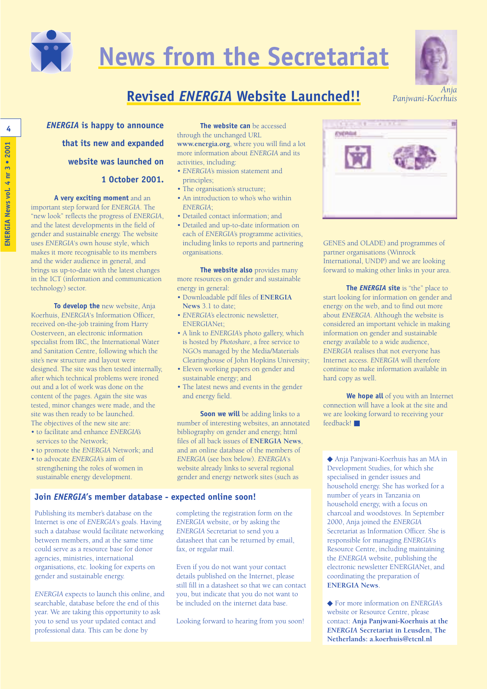

# **News from the Secretariat**



**Revised** *ENERGIA* **Website Launched!!** *Anja* 

**4 ENERGIA is happy to announce The website can** be accessed **that its new and expanded website was launched on 1 October 2001.** 

**A very exciting moment** and an important step forward for *ENERGIA*. The "new look" reflects the progress of *ENERGIA*, and the latest developments in the field of gender and sustainable energy. The website uses *ENERGIA*'s own house style, which makes it more recognisable to its members and the wider audience in general, and brings us up-to-date with the latest changes in the ICT (information and communication technology) sector.

**To develop the** new website, Anja Koerhuis, *ENERGIA*'s Information Officer, received on-the-job training from Harry Oosterveen, an electronic information specialist from IRC, the International Water and Sanitation Centre, following which the site's new structure and layout were designed. The site was then tested internally, after which technical problems were ironed out and a lot of work was done on the content of the pages. Again the site was tested, minor changes were made, and the site was then ready to be launched. The objectives of the new site are:

- to facilitate and enhance *ENERGIA's* services to the Network;
- to promote the *ENERGIA* Network; and
- to advocate *ENERGIA*'s aim of strengthening the roles of women in sustainable energy development.

#### **Join** *ENERGIA***'s member database - expected online soon!**

Publishing its member's database on the Internet is one of *ENERGIA*'s goals. Having such a database would facilitate networking between members, and at the same time could serve as a resource base for donor agencies, ministries, international organisations, etc. looking for experts on gender and sustainable energy.

*ENERGIA* expects to launch this online, and searchable, database before the end of this year. We are taking this opportunity to ask you to send us your updated contact and professional data. This can be done by

through the unchanged URL **www.energia.org**, where you will find a lot

more information about *ENERGIA* and its activities, including:

- *ENERGIA*'s mission statement and principles;
- The organisation's structure;
- An introduction to who's who within *ENERGIA*;
- Detailed contact information; and
- Detailed and up-to-date information on each of *ENERGIA*'s programme activities, including links to reports and partnering organisations.

**The website also** provides many more resources on gender and sustainable energy in general:

- Downloadable pdf files of **ENERGIA News** 3.1 to date;
- *ENERGIA*'s electronic newsletter, ENERGIANet;
- A link to *ENERGIA*'s photo gallery, which is hosted by *Photoshare*, a free service to NGOs managed by the Media/Materials Clearinghouse of John Hopkins University;
- Eleven working papers on gender and sustainable energy; and
- The latest news and events in the gender and energy field.

**Soon we will** be adding links to a number of interesting websites, an annotated bibliography on gender and energy, html files of all back issues of **ENERGIA News**, and an online database of the members of *ENERGIA* (see box below). *ENERGIA*'s website already links to several regional gender and energy network sites (such as

completing the registration form on the *ENERGIA* website, or by asking the *ENERGIA* Secretariat to send you a datasheet that can be returned by email, fax, or regular mail.

Even if you do not want your contact details published on the Internet, please still fill in a datasheet so that we can contact you, but indicate that you do not want to be included on the internet data base.

Looking forward to hearing from you soon!



GENES and OLADE) and programmes of partner organisations (Winrock International, UNDP) and we are looking forward to making other links in your area.

**The** *ENERGIA* **site** is "the" place to start looking for information on gender and energy on the web, and to find out more about *ENERGIA*. Although the website is considered an important vehicle in making information on gender and sustainable energy available to a wide audience, *ENERGIA* realises that not everyone has Internet access. *ENERGIA* will therefore continue to make information available in hard copy as well.

**We hope all** of you with an Internet connection will have a look at the site and we are looking forward to receiving your feedback!

◆ Anja Panjwani-Koerhuis has an MA in Development Studies, for which she specialised in gender issues and household energy. She has worked for a number of years in Tanzania on household energy, with a focus on charcoal and woodstoves. In September 2000, Anja joined the *ENERGIA* Secretariat as Information Officer. She is responsible for managing *ENERGIA*'s Resource Centre, including maintaining the *ENERGIA* website, publishing the electronic newsletter ENERGIANet, and coordinating the preparation of **ENERGIA News**.

◆ For more information on *ENERGIA*'s website or Resource Centre, please contact: **Anja Panjwani-Koerhuis at the** *ENERGIA* **Secretariat in Leusden, The Netherlands: a.koerhuis@etcnl.nl**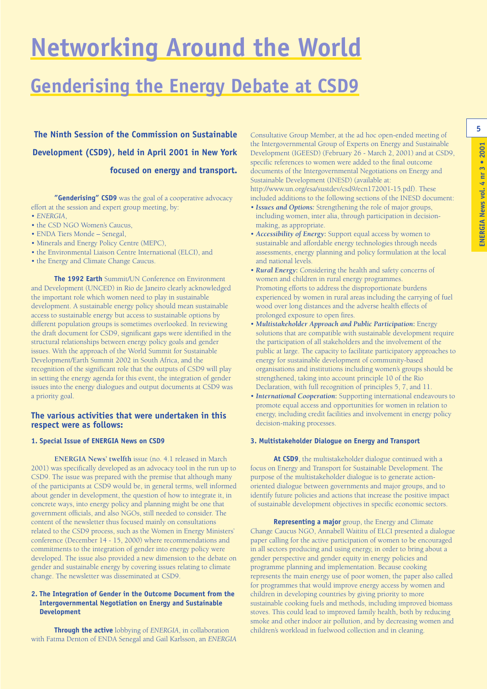# **Networking Around the World**

### **Genderising the Energy Debate at CSD9**

**The Ninth Session of the Commission on Sustainable** Consultative Group Member, at the ad hoc open-ended meeting of **1997 Development (CSD9), held in April 2001 in New York focused on energy and transport.**

**"Genderising" CSD9** was the goal of a cooperative advocacy effort at the session and expert group meeting, by: • *ENERGIA*,

- 
- the CSD NGO Women's Caucus, • ENDA Tiers Monde – Senegal,
- Minerals and Energy Policy Centre (MEPC),
- the Environmental Liaison Centre International (ELCI), and
- the Energy and Climate Change Caucus.

**The 1992 Earth** Summit/UN Conference on Environment and Development (UNCED) in Rio de Janeiro clearly acknowledged the important role which women need to play in sustainable development. A sustainable energy policy should mean sustainable access to sustainable energy but access to sustainable options by different population groups is sometimes overlooked. In reviewing the draft document for CSD9, significant gaps were identified in the structural relationships between energy policy goals and gender issues. With the approach of the World Summit for Sustainable Development/Earth Summit 2002 in South Africa, and the recognition of the significant role that the outputs of CSD9 will play in setting the energy agenda for this event, the integration of gender issues into the energy dialogues and output documents at CSD9 was a priority goal.

#### **The various activities that were undertaken in this respect were as follows:**

#### **1. Special Issue of ENERGIA News on CSD9**

**ENERGIA News' twelfth** issue (no. 4.1 released in March 2001) was specifically developed as an advocacy tool in the run up to CSD9. The issue was prepared with the premise that although many of the participants at CSD9 would be, in general terms, well informed about gender in development, the question of how to integrate it, in concrete ways, into energy policy and planning might be one that government officials, and also NGOs, still needed to consider. The content of the newsletter thus focused mainly on consultations related to the CSD9 process, such as the Women in Energy Ministers' conference (December 14 - 15, 2000) where recommendations and commitments to the integration of gender into energy policy were developed. The issue also provided a new dimension to the debate on gender and sustainable energy by covering issues relating to climate change. The newsletter was disseminated at CSD9.

#### **2. The Integration of Gender in the Outcome Document from the Intergovernmental Negotiation on Energy and Sustainable Development**

**Through the active** lobbying of *ENERGIA*, in collaboration with Fatma Denton of ENDA Senegal and Gail Karlsson, an *ENERGIA* the Intergovernmental Group of Experts on Energy and Sustainable Development (IGEESD) (February 26 - March 2, 2001) and at CSD9, specific references to women were added to the final outcome documents of the Intergovernmental Negotiations on Energy and Sustainable Development (INESD) (available at: http://www.un.org/esa/sustdev/csd9/ecn172001-15.pdf). These included additions to the following sections of the INESD document:

- *Issues and Options:* Strengthening the role of major groups, including women, inter alia, through participation in decisionmaking, as appropriate.
- *Accessibility of Energy***:** Support equal access by women to sustainable and affordable energy technologies through needs assessments, energy planning and policy formulation at the local and national levels.
- *Rural Energy***:** Considering the health and safety concerns of women and children in rural energy programmes. Promoting efforts to address the disproportionate burdens experienced by women in rural areas including the carrying of fuel wood over long distances and the adverse health effects of prolonged exposure to open fires.
- *Multistakeholder Approach and Public Participation***:** Energy solutions that are compatible with sustainable development require the participation of all stakeholders and the involvement of the public at large. The capacity to facilitate participatory approaches to energy for sustainable development of community-based organisations and institutions including women's groups should be strengthened, taking into account principle 10 of the Rio Declaration, with full recognition of principles 5, 7, and 11.
- *International Cooperation***:** Supporting international endeavours to promote equal access and opportunities for women in relation to energy, including credit facilities and involvement in energy policy decision-making processes.

#### **3. Multistakeholder Dialogue on Energy and Transport**

**At CSD9**, the multistakeholder dialogue continued with a focus on Energy and Transport for Sustainable Development. The purpose of the multistakeholder dialogue is to generate actionoriented dialogue between governments and major groups, and to identify future policies and actions that increase the positive impact of sustainable development objectives in specific economic sectors.

**Representing a major** group, the Energy and Climate Change Caucus NGO, Annabell Waititu of ELCI presented a dialogue paper calling for the active participation of women to be encouraged in all sectors producing and using energy, in order to bring about a gender perspective and gender equity in energy policies and programme planning and implementation. Because cooking represents the main energy use of poor women, the paper also called for programmes that would improve energy access by women and children in developing countries by giving priority to more sustainable cooking fuels and methods, including improved biomass stoves. This could lead to improved family health, both by reducing smoke and other indoor air pollution, and by decreasing women and children's workload in fuelwood collection and in cleaning.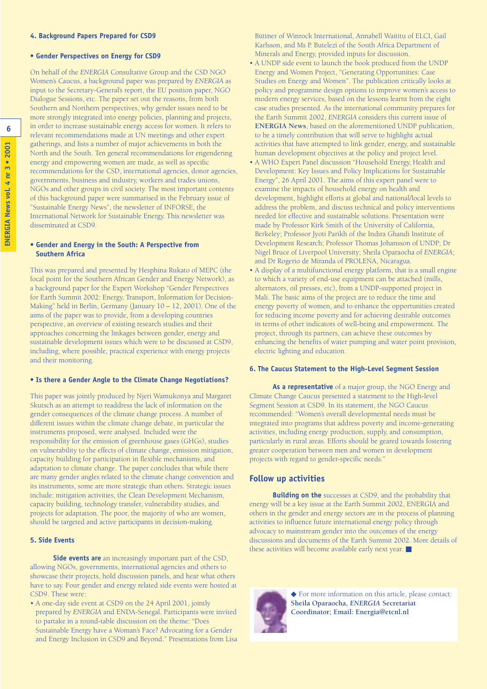#### **• Gender Perspectives on Energy for CSD9**

On behalf of the *ENERGIA* Consultative Group and the CSD NGO Women's Caucus, a background paper was prepared by *ENERGIA* as input to the Secretary-General's report, the EU position paper, NGO Dialogue Sessions, etc. The paper set out the reasons, from both Southern and Northern perspectives, why gender issues need to be more strongly integrated into energy policies, planning and projects, in order to increase sustainable energy access for women. It refers to relevant recommendations made at UN meetings and other expert gatherings, and lists a number of major achievements in both the North and the South. Ten general recommendations for engendering energy and empowering women are made, as well as specific recommendations for the CSD, international agencies, donor agencies, governments, business and industry, workers and trades unions, NGOs and other groups in civil society. The most important contents of this background paper were summarised in the February issue of "Sustainable Energy News", the newsletter of INFORSE, the International Network for Sustainable Energy. This newsletter was disseminated at CSD9.

#### **• Gender and Energy in the South: A Perspective from Southern Africa**

This was prepared and presented by Hesphina Rukato of MEPC (the focal point for the Southern African Gender and Energy Network), as a background paper for the Expert Workshop "Gender Perspectives for Earth Summit 2002: Energy, Transport, Information for Decision-Making" held in Berlin, Germany (January 10 – 12, 2001). One of the aims of the paper was to provide, from a developing countries perspective, an overview of existing research studies and their approaches concerning the linkages between gender, energy and sustainable development issues which were to be discussed at CSD9, including, where possible, practical experience with energy projects and their monitoring.

#### **• Is there a Gender Angle to the Climate Change Negotiations?**

This paper was jointly produced by Njeri Wamukonya and Margaret Skutsch as an attempt to readdress the lack of information on the gender consequences of the climate change process. A number of different issues within the climate change debate, in particular the instruments proposed, were analysed. Included were the responsibility for the emission of greenhouse gases (GHGs), studies on vulnerability to the effects of climate change, emission mitigation, capacity building for participation in flexible mechanisms, and adaptation to climate change. The paper concludes that while there are many gender angles related to the climate change convention and its instruments, some are more strategic than others. Strategic issues include: mitigation activities, the Clean Development Mechanism, capacity building, technology transfer, vulnerability studies, and projects for adaptation. The poor, the majority of who are women, should be targeted and active participants in decision-making.

#### **5. Side Events**

**Side events are** an increasingly important part of the CSD, allowing NGOs, governments, international agencies and others to showcase their projects, hold discussion panels, and hear what others have to say. Four gender and energy related side events were hosted at CSD9. These were:

• A one-day side event at CSD9 on the 24 April 2001, jointly prepared by *ENERGIA* and ENDA-Senegal. Participants were invited to partake in a round-table discussion on the theme: "Does Sustainable Energy have a Woman's Face? Advocating for a Gender and Energy Inclusion in CSD9 and Beyond." Presentations from Lisa Büttner of Winrock International, Annabell Waititu of ELCI, Gail Karlsson, and Ms P. Butelezi of the South Africa Department of Minerals and Energy, provided inputs for discussion.

- A UNDP side event to launch the book produced from the UNDP Energy and Women Project, "Generating Opportunities: Case Studies on Energy and Women". The publication critically looks at policy and programme design options to improve women's access to modern energy services, based on the lessons learnt from the eight case studies presented. As the international community prepares for the Earth Summit 2002, *ENERGIA* considers this current issue of **ENERGIA News**, based on the aforementioned UNDP publication, to be a timely contribution that will serve to highlight actual activities that have attempted to link gender, energy, and sustainable human development objectives at the policy and project level.
- A WHO Expert Panel discussion "Household Energy, Health and Development: Key Issues and Policy Implications for Sustainable Energy", 26 April 2001. The aims of this expert panel were to examine the impacts of household energy on health and development, highlight efforts at global and national/local levels to address the problem, and discuss technical and policy interventions needed for effective and sustainable solutions. Presentation were made by Professor Kirk Smith of the University of California, Berkeley; Professor Jyoti Parikh of the Indira Ghandi Institute of Development Research; Professor Thomas Johansson of UNDP; Dr Nigel Bruce of Liverpool University; Sheila Oparaocha of *ENERGIA*; and Dr Rogerio de Miranda of PROLENA, Nicaragua.
- A display of a multifunctional energy platform, that is a small engine to which a variety of end-use equipment can be attached (mills, alternators, oil presses, etc), from a UNDP-supported project in Mali. The basic aims of the project are to reduce the time and energy poverty of women, and to enhance the opportunities created for reducing income poverty and for achieving desirable outcomes in terms of other indicators of well-being and empowerment. The project, through its partners, can achieve these outcomes by enhancing the benefits of water pumping and water point provision, electric lighting and education.

#### **6. The Caucus Statement to the High-Level Segment Session**

**As a representative** of a major group, the NGO Energy and Climate Change Caucus presented a statement to the High-level Segment Session at CSD9. In its statement, the NGO Caucus recommended: "Women's overall developmental needs must be integrated into programs that address poverty and income-generating activities, including energy production, supply, and consumption, particularly in rural areas. Efforts should be geared towards fostering greater cooperation between men and women in development projects with regard to gender-specific needs."

#### **Follow up activities**

**Building on the** successes at CSD9, and the probability that energy will be a key issue at the Earth Summit 2002, ENERGIA and others in the gender and energy sectors are in the process of planning activities to influence future international energy policy through advocacy to mainstream gender into the outcomes of the energy discussions and documents of the Earth Summit 2002. More details of these activities will become available early next year. ■



◆ For more information on this article, please contact: **Sheila Oparaocha,** *ENERGIA* **Secretariat Coordinator; Email: Energia@etcnl.nl**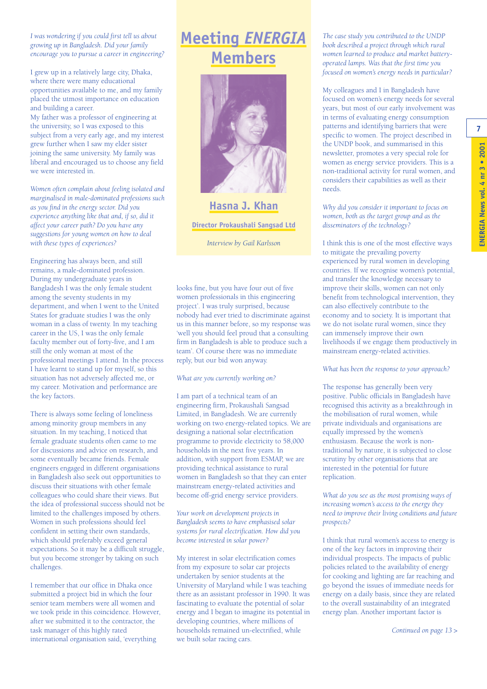*I was wondering if you could first tell us about growing up in Bangladesh. Did your family encourage you to pursue a career in engineering?*

I grew up in a relatively large city, Dhaka, where there were many educational opportunities available to me, and my family placed the utmost importance on education and building a career.

My father was a professor of engineering at the university, so I was exposed to this subject from a very early age, and my interest grew further when I saw my elder sister joining the same university. My family was liberal and encouraged us to choose any field we were interested in.

*Women often complain about feeling isolated and marginalised in male-dominated professions such as you find in the energy sector. Did you experience anything like that and, if so, did it affect your career path? Do you have any suggestions for young women on how to deal with these types of experiences?*

Engineering has always been, and still remains, a male-dominated profession. During my undergraduate years in Bangladesh I was the only female student among the seventy students in my department, and when I went to the United States for graduate studies I was the only woman in a class of twenty. In my teaching career in the US, I was the only female faculty member out of forty-five, and I am still the only woman at most of the professional meetings I attend. In the process I have learnt to stand up for myself, so this situation has not adversely affected me, or my career. Motivation and performance are the key factors.

There is always some feeling of loneliness among minority group members in any situation. In my teaching, I noticed that female graduate students often came to me for discussions and advice on research, and some eventually became friends. Female engineers engaged in different organisations in Bangladesh also seek out opportunities to discuss their situations with other female colleagues who could share their views. But the idea of professional success should not be limited to the challenges imposed by others. Women in such professions should feel confident in setting their own standards, which should preferably exceed general expectations. So it may be a difficult struggle, but you become stronger by taking on such challenges.

I remember that our office in Dhaka once submitted a project bid in which the four senior team members were all women and we took pride in this coincidence. However, after we submitted it to the contractor, the task manager of this highly rated international organisation said, 'everything

### **Meeting** *ENERGIA* **Members**



**Hasna J. Khan Director Prokaushali Sangsad Ltd**

*Interview by Gail Karlsson*

looks fine, but you have four out of five women professionals in this engineering project'. I was truly surprised, because nobody had ever tried to discriminate against us in this manner before, so my response was 'well you should feel proud that a consulting firm in Bangladesh is able to produce such a team'. Of course there was no immediate reply, but our bid won anyway.

#### *What are you currently working on?*

I am part of a technical team of an engineering firm, Prokaushali Sangsad Limited, in Bangladesh. We are currently working on two energy-related topics. We are designing a national solar electrification programme to provide electricity to 58,000 households in the next five years. In addition, with support from ESMAP, we are providing technical assistance to rural women in Bangladesh so that they can enter mainstream energy-related activities and become off-grid energy service providers.

*Your work on development projects in Bangladesh seems to have emphasised solar systems for rural electrification. How did you become interested in solar power?*

My interest in solar electrification comes from my exposure to solar car projects undertaken by senior students at the University of Maryland while I was teaching there as an assistant professor in 1990. It was fascinating to evaluate the potential of solar energy and I began to imagine its potential in developing countries, where millions of households remained un-electrified, while we built solar racing cars.

*The case study you contributed to the UNDP book described a project through which rural women learned to produce and market batteryoperated lamps. Was that the first time you focused on women's energy needs in particular?* 

My colleagues and I in Bangladesh have focused on women's energy needs for several years, but most of our early involvement was in terms of evaluating energy consumption patterns and identifying barriers that were specific to women. The project described in the UNDP book, and summarised in this newsletter, promotes a very special role for women as energy service providers. This is a non-traditional activity for rural women, and considers their capabilities as well as their needs.

*Why did you consider it important to focus on women, both as the target group and as the disseminators of the technology?*

I think this is one of the most effective ways to mitigate the prevailing poverty experienced by rural women in developing countries. If we recognise women's potential, and transfer the knowledge necessary to improve their skills, women can not only benefit from technological intervention, they can also effectively contribute to the economy and to society. It is important that we do not isolate rural women, since they can immensely improve their own livelihoods if we engage them productively in mainstream energy-related activities.

#### *What has been the response to your approach?*

The response has generally been very positive. Public officials in Bangladesh have recognised this activity as a breakthrough in the mobilisation of rural women, while private individuals and organisations are equally impressed by the women's enthusiasm. Because the work is nontraditional by nature, it is subjected to close scrutiny by other organisations that are interested in the potential for future replication.

*What do you see as the most promising ways of increasing women's access to the energy they need to improve their living conditions and future prospects?*

I think that rural women's access to energy is one of the key factors in improving their individual prospects. The impacts of public policies related to the availability of energy for cooking and lighting are far reaching and go beyond the issues of immediate needs for energy on a daily basis, since they are related to the overall sustainability of an integrated energy plan. Another important factor is

*Continued on page 13 >*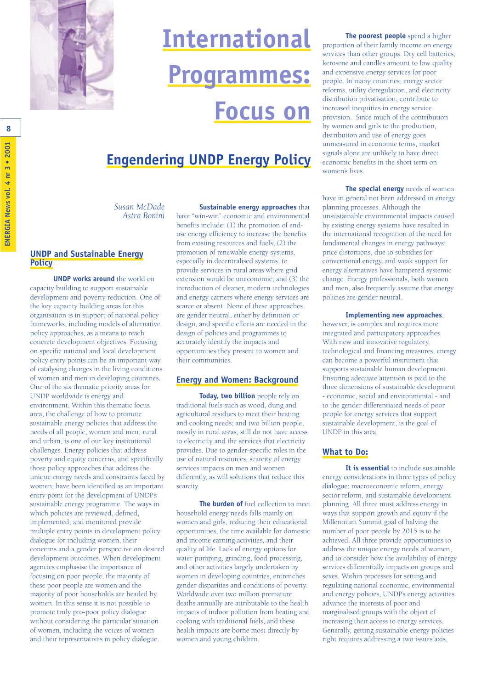

# **International Programmes: Focus on**

### **Engendering UNDP Energy Policy**

*Susan McDade Astra Bonini*

#### **UNDP and Sustainable Energy Policy**

**UNDP works around** the world on capacity building to support sustainable development and poverty reduction. One of the key capacity building areas for this organisation is in support of national policy frameworks, including models of alternative policy approaches, as a means to reach concrete development objectives. Focusing on specific national and local development policy entry points can be an important way of catalysing changes in the living conditions of women and men in developing countries. One of the six thematic priority areas for UNDP worldwide is energy and environment. Within this thematic focus area, the challenge of how to promote sustainable energy policies that address the needs of all people, women and men, rural and urban, is one of our key institutional challenges. Energy policies that address poverty and equity concerns, and specifically those policy approaches that address the unique energy needs and constraints faced by women, have been identified as an important entry point for the development of UNDP's sustainable energy programme. The ways in which policies are reviewed, defined, implemented, and monitored provide multiple entry points in development policy dialogue for including women, their concerns and a gender perspective on desired development outcomes. When development agencies emphasise the importance of focusing on poor people, the majority of these poor people are women and the majority of poor households are headed by women. In this sense it is not possible to promote truly pro-poor policy dialogue without considering the particular situation of women, including the voices of women and their representatives in policy dialogue.

**Sustainable energy approaches** that have "win-win" economic and environmental benefits include: (1) the promotion of enduse energy efficiency to increase the benefits from existing resources and fuels; (2) the promotion of renewable energy systems, especially in decentralised systems, to provide services in rural areas where grid extension would be uneconomic; and (3) the introduction of cleaner, modern technologies and energy carriers where energy services are scarce or absent. None of these approaches are gender neutral, either by definition or design, and specific efforts are needed in the design of policies and programmes to accurately identify the impacts and opportunities they present to women and their communities.

#### **Energy and Women: Background**

**Today, two billion** people rely on traditional fuels such as wood, dung and agricultural residues to meet their heating and cooking needs; and two billion people, mostly in rural areas, still do not have access to electricity and the services that electricity provides. Due to gender-specific roles in the use of natural resources, scarcity of energy services impacts on men and women differently, as will solutions that reduce this scarcity.

**The burden of** fuel collection to meet household energy needs falls mainly on women and girls, reducing their educational opportunities, the time available for domestic and income earning activities, and their quality of life. Lack of energy options for water pumping, grinding, food processing, and other activities largely undertaken by women in developing countries, entrenches gender disparities and conditions of poverty. Worldwide over two million premature deaths annually are attributable to the health impacts of indoor pollution from heating and cooking with traditional fuels, and these health impacts are borne most directly by women and young children.

**The poorest people** spend a higher proportion of their family income on energy services than other groups. Dry cell batteries, kerosene and candles amount to low quality and expensive energy services for poor people. In many countries, energy sector reforms, utility deregulation, and electricity distribution privatisation, contribute to increased inequities in energy service provision. Since much of the contribution by women and girls to the production, distribution and use of energy goes unmeasured in economic terms, market signals alone are unlikely to have direct economic benefits in the short term on women's lives.

**The special energy** needs of women have in general not been addressed in energy planning processes. Although the unsustainable environmental impacts caused by existing energy systems have resulted in the international recognition of the need for fundamental changes in energy pathways; price distortions, due to subsidies for conventional energy, and weak support for energy alternatives have hampered systemic change. Energy professionals, both women and men, also frequently assume that energy policies are gender neutral.

#### **Implementing new approaches**,

however, is complex and requires more integrated and participatory approaches. With new and innovative regulatory, technological and financing measures, energy can become a powerful instrument that supports sustainable human development. Ensuring adequate attention is paid to the three dimensions of sustainable development - economic, social and environmental - and to the gender differentiated needs of poor people for energy services that support sustainable development, is the goal of UNDP in this area.

#### **What to Do:**

**It is essential** to include sustainable energy considerations in three types of policy dialogue: macroeconomic reform, energy sector reform, and sustainable development planning. All three must address energy in ways that support growth and equity if the Millennium Summit goal of halving the number of poor people by 2015 is to be achieved. All three provide opportunities to address the unique energy needs of women, and to consider how the availability of energy services differentially impacts on groups and sexes. Within processes for setting and regulating national economic, environmental and energy policies, UNDP's energy activities advance the interests of poor and marginalised groups with the object of increasing their access to energy services. Generally, getting sustainable energy policies right requires addressing a two issues axis,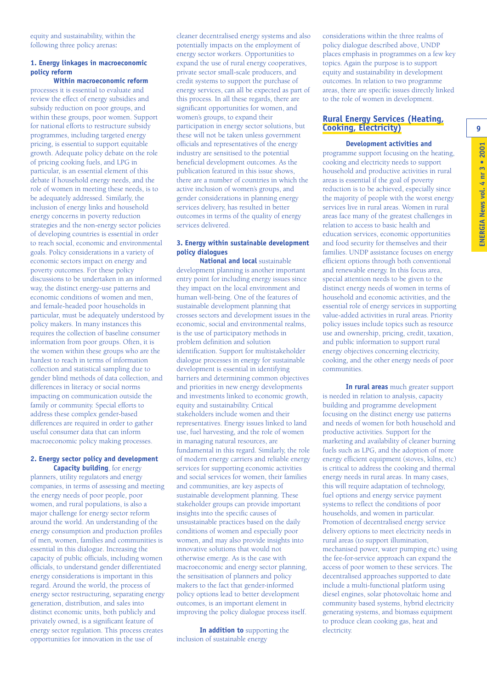equity and sustainability, within the following three policy arenas**:**

#### **1. Energy linkages in macroeconomic policy reform**

**Within macroeconomic reform** processes it is essential to evaluate and review the effect of energy subsidies and subsidy reduction on poor groups, and within these groups, poor women. Support for national efforts to restructure subsidy programmes, including targeted energy pricing, is essential to support equitable growth. Adequate policy debate on the role of pricing cooking fuels, and LPG in particular, is an essential element of this debate if household energy needs, and the role of women in meeting these needs, is to be adequately addressed. Similarly, the inclusion of energy links and household energy concerns in poverty reduction strategies and the non-energy sector policies of developing countries is essential in order to reach social, economic and environmental goals. Policy considerations in a variety of economic sectors impact on energy and poverty outcomes. For these policy discussions to be undertaken in an informed way, the distinct energy-use patterns and economic conditions of women and men, and female-headed poor households in particular, must be adequately understood by policy makers. In many instances this requires the collection of baseline consumer information from poor groups. Often, it is the women within these groups who are the hardest to reach in terms of information collection and statistical sampling due to gender blind methods of data collection, and differences in literacy or social norms impacting on communication outside the family or community. Special efforts to address these complex gender-based differences are required in order to gather useful consumer data that can inform macroeconomic policy making processes.

#### **2. Energy sector policy and development Capacity building**, for energy

planners, utility regulators and energy companies, in terms of assessing and meeting the energy needs of poor people, poor women, and rural populations, is also a major challenge for energy sector reform around the world. An understanding of the energy consumption and production profiles of men, women, families and communities is essential in this dialogue. Increasing the capacity of public officials, including women officials, to understand gender differentiated energy considerations is important in this regard. Around the world, the process of energy sector restructuring, separating energy generation, distribution, and sales into distinct economic units, both publicly and privately owned, is a significant feature of energy sector regulation. This process creates opportunities for innovation in the use of

cleaner decentralised energy systems and also potentially impacts on the employment of energy sector workers. Opportunities to expand the use of rural energy cooperatives, private sector small-scale producers, and credit systems to support the purchase of energy services, can all be expected as part of this process. In all these regards, there are significant opportunities for women, and women's groups, to expand their participation in energy sector solutions, but these will not be taken unless government officials and representatives of the energy industry are sensitised to the potential beneficial development outcomes. As the publication featured in this issue shows, there are a number of countries in which the active inclusion of women's groups, and gender considerations in planning energy services delivery, has resulted in better outcomes in terms of the quality of energy services delivered.

#### **3. Energy within sustainable development policy dialogues**

**National and local** sustainable development planning is another important entry point for including energy issues since they impact on the local environment and human well-being. One of the features of sustainable development planning that crosses sectors and development issues in the economic, social and environmental realms, is the use of participatory methods in problem definition and solution identification. Support for multistakeholder dialogue processes in energy for sustainable development is essential in identifying barriers and determining common objectives and priorities in new energy developments and investments linked to economic growth, equity and sustainability. Critical stakeholders include women and their representatives. Energy issues linked to land use, fuel harvesting, and the role of women in managing natural resources, are fundamental in this regard. Similarly, the role of modern energy carriers and reliable energy services for supporting economic activities and social services for women, their families and communities, are key aspects of sustainable development planning. These stakeholder groups can provide important insights into the specific causes of unsustainable practices based on the daily conditions of women and especially poor women, and may also provide insights into innovative solutions that would not otherwise emerge. As is the case with macroeconomic and energy sector planning, the sensitisation of planners and policy makers to the fact that gender-informed policy options lead to better development outcomes, is an important element in improving the policy dialogue process itself.

**In addition to** supporting the inclusion of sustainable energy

considerations within the three realms of policy dialogue described above, UNDP places emphasis in programmes on a few key topics. Again the purpose is to support equity and sustainability in development outcomes. In relation to two programme areas, there are specific issues directly linked to the role of women in development.

#### **Rural Energy Services (Heating, Cooking, Electricity)**

#### **Development activities and**

programme support focusing on the heating, cooking and electricity needs to support household and productive activities in rural areas is essential if the goal of poverty reduction is to be achieved, especially since the majority of people with the worst energy services live in rural areas. Women in rural areas face many of the greatest challenges in relation to access to basic health and education services, economic opportunities and food security for themselves and their families. UNDP assistance focuses on energy efficient options through both conventional and renewable energy. In this focus area, special attention needs to be given to the distinct energy needs of women in terms of household and economic activities, and the essential role of energy services in supporting value-added activities in rural areas. Priority policy issues include topics such as resource use and ownership, pricing, credit, taxation, and public information to support rural energy objectives concerning electricity, cooking, and the other energy needs of poor communities.

**In rural areas** much greater support is needed in relation to analysis, capacity building and programme development focusing on the distinct energy use patterns and needs of women for both household and productive activities. Support for the marketing and availability of cleaner burning fuels such as LPG, and the adoption of more energy efficient equipment (stoves, kilns, etc) is critical to address the cooking and thermal energy needs in rural areas. In many cases, this will require adaptation of technology, fuel options and energy service payment systems to reflect the conditions of poor households, and women in particular. Promotion of decentralised energy service delivery options to meet electricity needs in rural areas (to support illumination, mechanised power, water pumping etc) using the fee-for-service approach can expand the access of poor women to these services. The decentralised approaches supported to date include a multi-functional platform using diesel engines, solar photovoltaic home and community based systems, hybrid electricity generating systems, and biomass equipment to produce clean cooking gas, heat and electricity.

**9**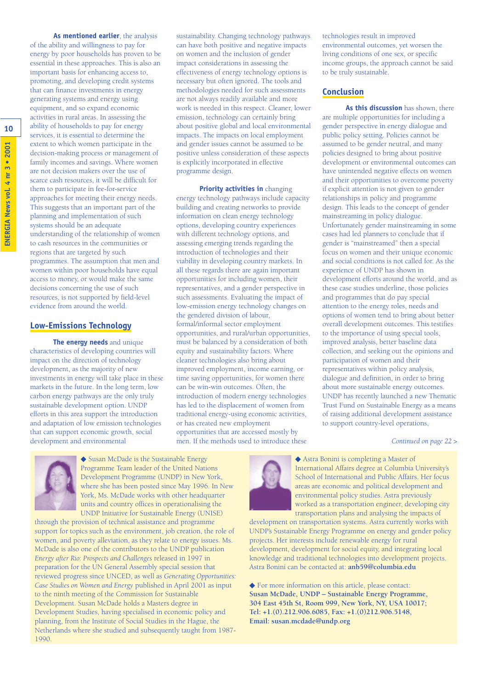**As mentioned earlier**, the analysis of the ability and willingness to pay for energy by poor households has proven to be essential in these approaches. This is also an important basis for enhancing access to, promoting, and developing credit systems that can finance investments in energy generating systems and energy using equipment, and so expand economic activities in rural areas. In assessing the ability of households to pay for energy services, it is essential to determine the extent to which women participate in the decision-making process or management of family incomes and savings. Where women are not decision makers over the use of scarce cash resources, it will be difficult for them to participate in fee-for-service approaches for meeting their energy needs. This suggests that an important part of the planning and implementation of such systems should be an adequate understanding of the relationship of women to cash resources in the communities or regions that are targeted by such programmes. The assumption that men and women within poor households have equal access to money, or would make the same decisions concerning the use of such resources, is not supported by field-level evidence from around the world.

#### **Low-Emissions Technology**

**The energy needs** and unique characteristics of developing countries will impact on the direction of technology development, as the majority of new investments in energy will take place in these markets in the future. In the long term, low carbon energy pathways are the only truly sustainable development option. UNDP efforts in this area support the introduction and adaptation of low emission technologies that can support economic growth, social development and environmental

sustainability. Changing technology pathways can have both positive and negative impacts on women and the inclusion of gender impact considerations in assessing the effectiveness of energy technology options is necessary but often ignored. The tools and methodologies needed for such assessments are not always readily available and more work is needed in this respect. Cleaner, lower emission, technology can certainly bring about positive global and local environmental impacts. The impacts on local employment and gender issues cannot be assumed to be positive unless consideration of these aspects is explicitly incorporated in effective programme design.

**Priority activities in** changing energy technology pathways include capacity building and creating networks to provide information on clean energy technology options, developing country experiences with different technology options, and assessing emerging trends regarding the introduction of technologies and their viability in developing country markets. In all these regards there are again important opportunities for including women, their representatives, and a gender perspective in such assessments. Evaluating the impact of low-emission energy technology changes on the gendered division of labour, formal/informal sector employment opportunities, and rural/urban opportunities, must be balanced by a consideration of both equity and sustainability factors. Where cleaner technologies also bring about improved employment, income earning, or time saving opportunities, for women there can be win-win outcomes. Often, the introduction of modern energy technologies has led to the displacement of women from traditional energy-using economic activities, or has created new employment opportunities that are accessed mostly by men. If the methods used to introduce these

technologies result in improved environmental outcomes, yet worsen the living conditions of one sex, or specific income groups, the approach cannot be said to be truly sustainable.

#### **Conclusion**

**As this discussion** has shown, there are multiple opportunities for including a gender perspective in energy dialogue and public policy setting. Policies cannot be assumed to be gender neutral, and many policies designed to bring about positive development or environmental outcomes can have unintended negative effects on women and their opportunities to overcome poverty if explicit attention is not given to gender relationships in policy and programme design. This leads to the concept of gender mainstreaming in policy dialogue. Unfortunately gender mainstreaming in some cases had led planners to conclude that if gender is "mainstreamed" then a special focus on women and their unique economic and social conditions is not called for. As the experience of UNDP has shown in development efforts around the world, and as these case studies underline, those policies and programmes that do pay special attention to the energy roles, needs and options of women tend to bring about better overall development outcomes. This testifies to the importance of using special tools, improved analysis, better baseline data collection, and seeking out the opinions and participation of women and their representatives within policy analysis, dialogue and definition, in order to bring about more sustainable energy outcomes. UNDP has recently launched a new Thematic Trust Fund on Sustainable Energy as a means of raising additional development assistance to support country-level operations,

#### *Continued on page 22 >*



◆ Susan McDade is the Sustainable Energy Programme Team leader of the United Nations Development Programme (UNDP) in New York, where she has been posted since May 1996. In New York, Ms. McDade works with other headquarter units and country offices in operationalising the UNDP Initiative for Sustainable Energy (UNISE)

through the provision of technical assistance and programme support for topics such as the environment, job creation, the role of women, and poverty alleviation, as they relate to energy issues. Ms. McDade is also one of the contributors to the UNDP publication *Energy after Rio: Prospects and Challenges* released in 1997 in preparation for the UN General Assembly special session that reviewed progress since UNCED, as well as *Generating Opportunities: Case Studies on Women and Energy* published in April 2001 as input to the ninth meeting of the Commission for Sustainable Development. Susan McDade holds a Masters degree in Development Studies, having specialised in economic policy and planning, from the Institute of Social Studies in the Hague, the Netherlands where she studied and subsequently taught from 1987- 1990.



◆ Astra Bonini is completing a Master of International Affairs degree at Columbia University's School of International and Public Affairs. Her focus areas are economic and political development and environmental policy studies. Astra previously worked as a transportation engineer, developing city transportation plans and analysing the impacts of

development on transportation systems. Astra currently works with UNDP's Sustainable Energy Programme on energy and gender policy projects. Her interests include renewable energy for rural development, development for social equity, and integrating local knowledge and traditional technologies into development projects. Astra Bonini can be contacted at: **anb59@columbia.edu**

◆ For more information on this article, please contact: **Susan McDade, UNDP – Sustainable Energy Programme, 304 East 45th St, Room 999, New York, NY, USA 10017; Tel: +1.(0).212.906.6085, Fax: +1.(0)212.906.5148, Email: susan.mcdade@undp.org**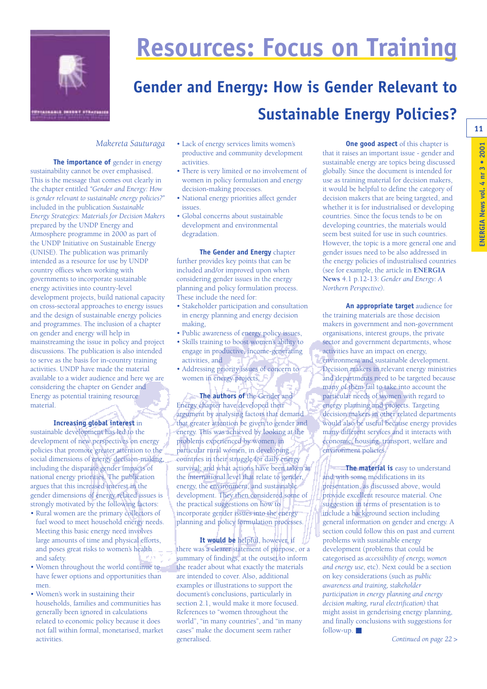

# **Resources: Focus on Training**

### **Gender and Energy: How is Gender Relevant to Sustainable Energy Policies?**

#### *Makereta Sauturaga*

**The importance of gender in energy** sustainability cannot be over emphasised. This is the message that comes out clearly in the chapter entitled *"Gender and Energy: How is gender relevant to sustainable energy policies?"* included in the publication *Sustainable Energy Strategies: Materials for Decision Makers* prepared by the UNDP Energy and Atmosphere programme in 2000 as part of the UNDP Initiative on Sustainable Energy (UNISE). The publication was primarily intended as a resource for use by UNDP country offices when working with governments to incorporate sustainable energy activities into country-level development projects, build national capacity on cross-sectoral approaches to energy issues and the design of sustainable energy policies and programmes. The inclusion of a chapter on gender and energy will help in mainstreaming the issue in policy and project discussions. The publication is also intended to serve as the basis for in-country training activities. UNDP have made the material available to a wider audience and here we are considering the chapter on Gender and Energy as potential training resource material.

#### **Increasing global interest** in

sustainable development has led to the development of new perspectives on energy policies that promote greater attention to the social dimensions of energy decision-making, including the disparate gender impacts of national energy priorities. The publication argues that this increased interest in the gender dimensions of energy related issues is strongly motivated by the following factors:

- Rural women are the primary collectors of fuel wood to meet household energy needs. Meeting this basic energy need involves large amounts of time and physical efforts, and poses great risks to women's health and safety.
- Women throughout the world continue to have fewer options and opportunities than men.
- Women's work in sustaining their households, families and communities has generally been ignored in calculations related to economic policy because it does not fall within formal, monetarised, market activities.
- Lack of energy services limits women's productive and community development activities.
- There is very limited or no involvement of women in policy formulation and energy decision-making processes.
- National energy priorities affect gender issues.
- Global concerns about sustainable development and environmental degradation.

**The Gender and Energy** chapter further provides key points that can be included and/or improved upon when considering gender issues in the energy planning and policy formulation process. These include the need for:

- Stakeholder participation and consultation in energy planning and energy decision making,
- Public awareness of energy policy issues,
- Skills training to boost women's ability to engage in productive, income-generating activities, and
- Addressing priority issues of concern to women in energy projects.

**The authors of** the Gender and Energy chapter have developed their argument by analysing factors that demand that greater attention be given to gender and energy. This was achieved by looking at the problems experienced by women, in particular rural women, in developing countries in their struggle for daily energy survival; and what actions have been taken at the international level that relate to gender, energy, the environment, and sustainable development. They then considered some of the practical suggestions on how to incorporate gender issues into the energy planning and policy formulation processes.

**It would be** helpful, however, if there was a clearer statement of purpose, or a summary of findings, at the outset to inform the reader about what exactly the materials are intended to cover. Also, additional examples or illustrations to support the document's conclusions, particularly in section 2.1, would make it more focused. References to "women throughout the world", "in many countries", and "in many cases" make the document seem rather generalised.

**One good aspect** of this chapter is that it raises an important issue - gender and sustainable energy are topics being discussed globally. Since the document is intended for use as training material for decision makers, it would be helpful to define the category of decision makers that are being targeted, and whether it is for industrialised or developing countries. Since the focus tends to be on developing countries, the materials would seem best suited for use in such countries. However, the topic is a more general one and gender issues need to be also addressed in the energy policies of industrialised countries (see for example, the article in **ENERGIA News** 4.1 p.12-13: *Gender and Energy: A Northern Perspective).* 

**An appropriate target** audience for the training materials are those decision makers in government and non-government organisations, interest groups, the private sector and government departments, whose activities have an impact on energy, environment and sustainable development. Decision makers in relevant energy ministries and departments need to be targeted because many of them fail to take into account the particular needs of women with regard to energy planning and projects. Targeting decision makers in other related departments would also be useful because energy provides many different services and it interacts with economic, housing, transport, welfare and environment policies.

**The material is** easy to understand and with some modifications in its presentation, as discussed above, would provide excellent resource material. One suggestion in terms of presentation is to include a background section including general information on gender and energy. A section could follow this on past and current problems with sustainable energy development (problems that could be categorised as *accessibility of energy, women and energy use,* etc). Next could be a section on key considerations (such as *public awareness and training, stakeholder participation in energy planning and energy decision making, rural electrification)* that might assist in genderising energy planning, and finally conclusions with suggestions for follow-up.  $\blacksquare$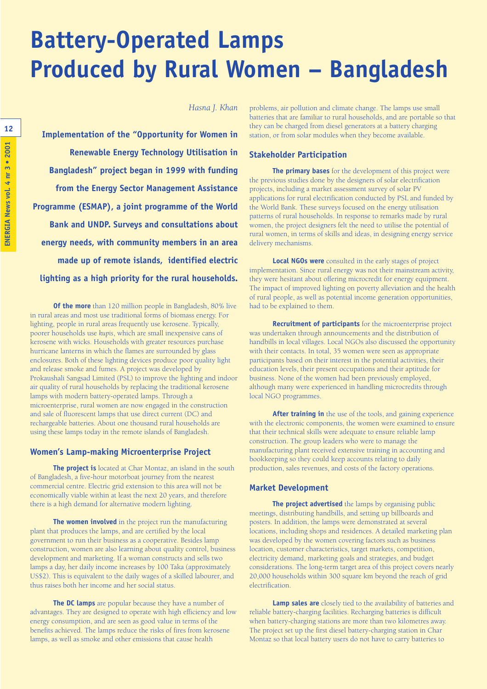### **Battery-Operated Lamps Produced by Rural Women – Bangladesh**

*Hasna J. Khan*

**Implementation of the "Opportunity for Women in Renewable Energy Technology Utilisation in Bangladesh" project began in 1999 with funding from the Energy Sector Management Assistance Programme (ESMAP), a joint programme of the World Bank and UNDP. Surveys and consultations about energy needs, with community members in an area made up of remote islands, identified electric lighting as a high priority for the rural households.** 

**Of the more** than 120 million people in Bangladesh, 80% live in rural areas and most use traditional forms of biomass energy. For lighting, people in rural areas frequently use kerosene. Typically, poorer households use *kupis*, which are small inexpensive cans of kerosene with wicks. Households with greater resources purchase hurricane lanterns in which the flames are surrounded by glass enclosures. Both of these lighting devices produce poor quality light and release smoke and fumes. A project was developed by Prokaushali Sangsad Limited (PSL) to improve the lighting and indoor air quality of rural households by replacing the traditional kerosene lamps with modern battery-operated lamps. Through a microenterprise, rural women are now engaged in the construction and sale of fluorescent lamps that use direct current (DC) and rechargeable batteries. About one thousand rural households are using these lamps today in the remote islands of Bangladesh.

#### **Women's Lamp-making Microenterprise Project**

**The project is** located at Char Montaz, an island in the south of Bangladesh, a five-hour motorboat journey from the nearest commercial centre. Electric grid extension to this area will not be economically viable within at least the next 20 years, and therefore there is a high demand for alternative modern lighting.

**The women involved** in the project run the manufacturing plant that produces the lamps, and are certified by the local government to run their business as a cooperative. Besides lamp construction, women are also learning about quality control, business development and marketing. If a woman constructs and sells two lamps a day, her daily income increases by 100 Taka (approximately US\$2). This is equivalent to the daily wages of a skilled labourer, and thus raises both her income and her social status.

**The DC lamps** are popular because they have a number of advantages. They are designed to operate with high efficiency and low energy consumption, and are seen as good value in terms of the benefits achieved. The lamps reduce the risks of fires from kerosene lamps, as well as smoke and other emissions that cause health

problems, air pollution and climate change. The lamps use small batteries that are familiar to rural households, and are portable so that they can be charged from diesel generators at a battery charging station, or from solar modules when they become available.

#### **Stakeholder Participation**

**The primary bases** for the development of this project were the previous studies done by the designers of solar electrification projects, including a market assessment survey of solar PV applications for rural electrification conducted by PSL and funded by the World Bank. These surveys focused on the energy utilisation patterns of rural households. In response to remarks made by rural women, the project designers felt the need to utilise the potential of rural women, in terms of skills and ideas, in designing energy service delivery mechanisms.

**Local NGOs were** consulted in the early stages of project implementation. Since rural energy was not their mainstream activity, they were hesitant about offering microcredit for energy equipment. The impact of improved lighting on poverty alleviation and the health of rural people, as well as potential income generation opportunities, had to be explained to them.

**Recruitment of participants** for the microenterprise project was undertaken through announcements and the distribution of handbills in local villages. Local NGOs also discussed the opportunity with their contacts. In total, 35 women were seen as appropriate participants based on their interest in the potential activities, their education levels, their present occupations and their aptitude for business. None of the women had been previously employed, although many were experienced in handling microcredits through local NGO programmes.

**After training in** the use of the tools, and gaining experience with the electronic components, the women were examined to ensure that their technical skills were adequate to ensure reliable lamp construction. The group leaders who were to manage the manufacturing plant received extensive training in accounting and bookkeeping so they could keep accounts relating to daily production, sales revenues, and costs of the factory operations.

#### **Market Development**

**The project advertised** the lamps by organising public meetings, distributing handbills, and setting up billboards and posters. In addition, the lamps were demonstrated at several locations, including shops and residences. A detailed marketing plan was developed by the women covering factors such as business location, customer characteristics, target markets, competition, electricity demand, marketing goals and strategies, and budget considerations. The long-term target area of this project covers nearly 20,000 households within 300 square km beyond the reach of grid electrification.

**Lamp sales are** closely tied to the availability of batteries and reliable battery-charging facilities. Recharging batteries is difficult when battery-charging stations are more than two kilometres away. The project set up the first diesel battery-charging station in Char Montaz so that local battery users do not have to carry batteries to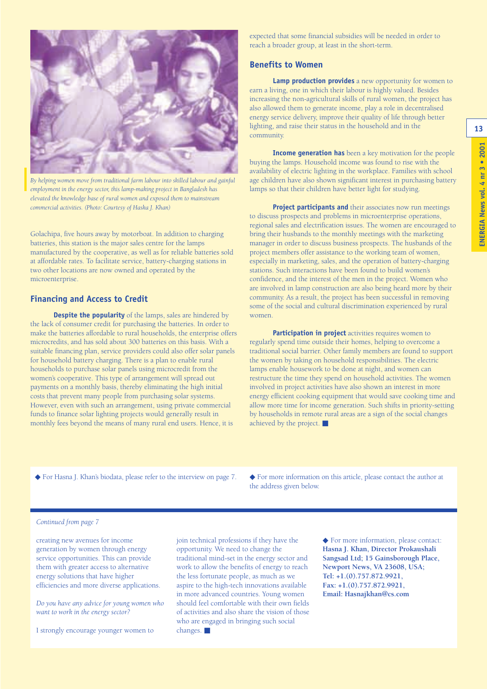**13**



*By helping women move from traditional farm labour into skilled labour and gainful employment in the energy sector, this lamp-making project in Bangladesh has elevated the knowledge base of rural women and exposed them to mainstream commercial activities. (Photo: Courtesy of Haska J. Khan)*

Golachipa, five hours away by motorboat. In addition to charging batteries, this station is the major sales centre for the lamps manufactured by the cooperative, as well as for reliable batteries sold at affordable rates. To facilitate service, battery-charging stations in two other locations are now owned and operated by the microenterprise.

#### **Financing and Access to Credit**

**Despite the popularity** of the lamps, sales are hindered by the lack of consumer credit for purchasing the batteries. In order to make the batteries affordable to rural households, the enterprise offers microcredits, and has sold about 300 batteries on this basis. With a suitable financing plan, service providers could also offer solar panels for household battery charging. There is a plan to enable rural households to purchase solar panels using microcredit from the women's cooperative. This type of arrangement will spread out payments on a monthly basis, thereby eliminating the high initial costs that prevent many people from purchasing solar systems. However, even with such an arrangement, using private commercial funds to finance solar lighting projects would generally result in monthly fees beyond the means of many rural end users. Hence, it is

expected that some financial subsidies will be needed in order to reach a broader group, at least in the short-term.

#### **Benefits to Women**

**Lamp production provides** a new opportunity for women to earn a living, one in which their labour is highly valued. Besides increasing the non-agricultural skills of rural women, the project has also allowed them to generate income, play a role in decentralised energy service delivery, improve their quality of life through better lighting, and raise their status in the household and in the community.

**Income generation has** been a key motivation for the people buying the lamps. Household income was found to rise with the availability of electric lighting in the workplace. Families with school age children have also shown significant interest in purchasing battery lamps so that their children have better light for studying.

**Project participants and** their associates now run meetings to discuss prospects and problems in microenterprise operations, regional sales and electrification issues. The women are encouraged to bring their husbands to the monthly meetings with the marketing manager in order to discuss business prospects. The husbands of the project members offer assistance to the working team of women, especially in marketing, sales, and the operation of battery-charging stations. Such interactions have been found to build women's confidence, and the interest of the men in the project. Women who are involved in lamp construction are also being heard more by their community. As a result, the project has been successful in removing some of the social and cultural discrimination experienced by rural women.

**Participation in project** activities requires women to regularly spend time outside their homes, helping to overcome a traditional social barrier. Other family members are found to support the women by taking on household responsibilities. The electric lamps enable housework to be done at night, and women can restructure the time they spend on household activities. The women involved in project activities have also shown an interest in more energy efficient cooking equipment that would save cooking time and allow more time for income generation. Such shifts in priority-setting by households in remote rural areas are a sign of the social changes achieved by the project. ■

◆ For Hasna J. Khan's biodata, please refer to the interview on page 7. ◆ For more information on this article, please contact the author at the address given below.

#### *Continued from page 7*

creating new avenues for income generation by women through energy service opportunities. This can provide them with greater access to alternative energy solutions that have higher efficiencies and more diverse applications.

*Do you have any advice for young women who want to work in the energy sector?*

I strongly encourage younger women to

join technical professions if they have the opportunity. We need to change the traditional mind-set in the energy sector and work to allow the benefits of energy to reach the less fortunate people, as much as we aspire to the high-tech innovations available in more advanced countries. Young women should feel comfortable with their own fields of activities and also share the vision of those who are engaged in bringing such social changes. ■

◆ For more information, please contact: **Hasna J. Khan, Director Prokaushali Sangsad Ltd; 15 Gainsborough Place, Newport News, VA 23608, USA; Tel: +1.(0).757.872.9921, Fax: +1.(0).757.872.9921, Email: Hasnajkhan@cs.com**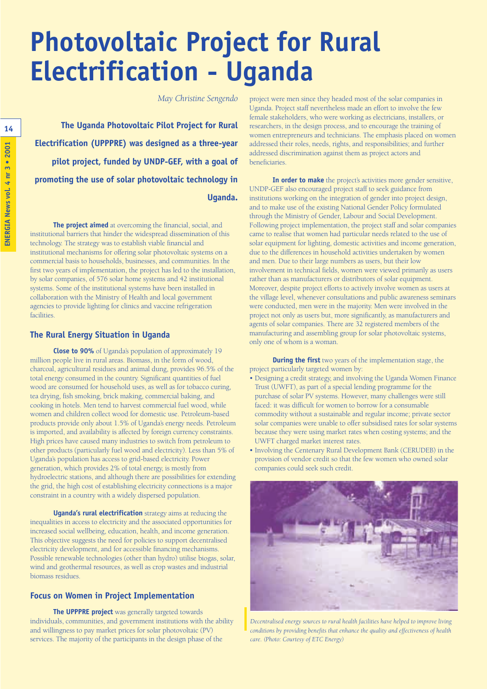# **Photovoltaic Project for Rural Electrification - Uganda**

*May Christine Sengendo*

**The Uganda Photovoltaic Pilot Project for Rural Electrification (UPPPRE) was designed as a three-year pilot project, funded by UNDP-GEF, with a goal of promoting the use of solar photovoltaic technology in Uganda.** 

**The project aimed** at overcoming the financial, social, and institutional barriers that hinder the widespread dissemination of this technology. The strategy was to establish viable financial and institutional mechanisms for offering solar photovoltaic systems on a commercial basis to households, businesses, and communities. In the first two years of implementation, the project has led to the installation, by solar companies, of 576 solar home systems and 42 institutional systems. Some of the institutional systems have been installed in collaboration with the Ministry of Health and local government agencies to provide lighting for clinics and vaccine refrigeration facilities.

#### **The Rural Energy Situation in Uganda**

**Close to 90%** of Uganda's population of approximately 19 million people live in rural areas. Biomass, in the form of wood, charcoal, agricultural residues and animal dung, provides 96.5% of the total energy consumed in the country. Significant quantities of fuel wood are consumed for household uses, as well as for tobacco curing, tea drying, fish smoking, brick making, commercial baking, and cooking in hotels. Men tend to harvest commercial fuel wood, while women and children collect wood for domestic use. Petroleum-based products provide only about 1.5% of Uganda's energy needs. Petroleum is imported, and availability is affected by foreign currency constraints. High prices have caused many industries to switch from petroleum to other products (particularly fuel wood and electricity). Less than 5% of Uganda's population has access to grid-based electricity. Power generation, which provides 2% of total energy, is mostly from hydroelectric stations, and although there are possibilities for extending the grid, the high cost of establishing electricity connections is a major constraint in a country with a widely dispersed population.

**Uganda's rural electrification** strategy aims at reducing the inequalities in access to electricity and the associated opportunities for increased social wellbeing, education, health, and income generation. This objective suggests the need for policies to support decentralised electricity development, and for accessible financing mechanisms. Possible renewable technologies (other than hydro) utilise biogas, solar, wind and geothermal resources, as well as crop wastes and industrial biomass residues.

#### **Focus on Women in Project Implementation**

**The UPPPRE project** was generally targeted towards individuals, communities, and government institutions with the ability and willingness to pay market prices for solar photovoltaic (PV) services. The majority of the participants in the design phase of the

project were men since they headed most of the solar companies in Uganda. Project staff nevertheless made an effort to involve the few female stakeholders, who were working as electricians, installers, or researchers, in the design process, and to encourage the training of women entrepreneurs and technicians. The emphasis placed on women addressed their roles, needs, rights, and responsibilities; and further addressed discrimination against them as project actors and beneficiaries.

**In order to make** the project's activities more gender sensitive, UNDP-GEF also encouraged project staff to seek guidance from institutions working on the integration of gender into project design, and to make use of the existing National Gender Policy formulated through the Ministry of Gender, Labour and Social Development. Following project implementation, the project staff and solar companies came to realise that women had particular needs related to the use of solar equipment for lighting, domestic activities and income generation, due to the differences in household activities undertaken by women and men. Due to their large numbers as users, but their low involvement in technical fields, women were viewed primarily as users rather than as manufacturers or distributors of solar equipment. Moreover, despite project efforts to actively involve women as users at the village level, whenever consultations and public awareness seminars were conducted, men were in the majority. Men were involved in the project not only as users but, more significantly, as manufacturers and agents of solar companies. There are 32 registered members of the manufacturing and assembling group for solar photovoltaic systems, only one of whom is a woman.

**During the first** two years of the implementation stage, the project particularly targeted women by:

- Designing a credit strategy, and involving the Uganda Women Finance Trust (UWFT), as part of a special lending programme for the purchase of solar PV systems. However, many challenges were still faced: it was difficult for women to borrow for a consumable commodity without a sustainable and regular income; private sector solar companies were unable to offer subsidised rates for solar systems because they were using market rates when costing systems; and the UWFT charged market interest rates.
- Involving the Centenary Rural Development Bank (CERUDEB) in the provision of vendor credit so that the few women who owned solar companies could seek such credit.



*Decentralised energy sources to rural health facilities have helped to improve living conditions by providing benefits that enhance the quality and effectiveness of health care. (Photo: Courtesy of ETC Energy)*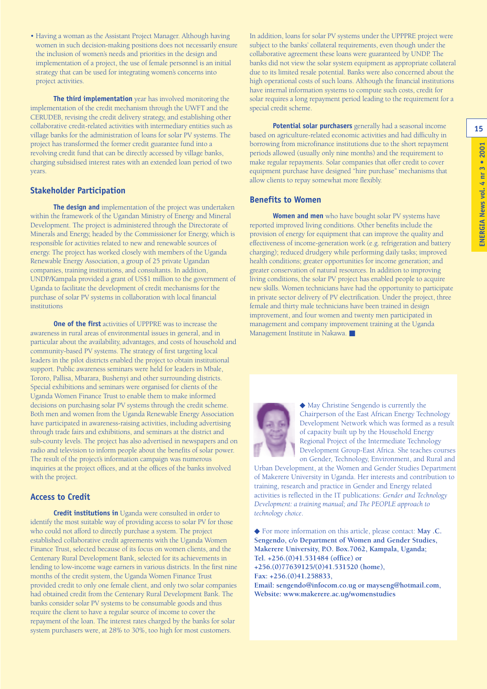• Having a woman as the Assistant Project Manager. Although having women in such decision-making positions does not necessarily ensure the inclusion of women's needs and priorities in the design and implementation of a project, the use of female personnel is an initial strategy that can be used for integrating women's concerns into project activities.

**The third implementation** year has involved monitoring the implementation of the credit mechanism through the UWFT and the CERUDEB, revising the credit delivery strategy, and establishing other collaborative credit-related activities with intermediary entities such as village banks for the administration of loans for solar PV systems. The project has transformed the former credit guarantee fund into a revolving credit fund that can be directly accessed by village banks, charging subsidised interest rates with an extended loan period of two years.

#### **Stakeholder Participation**

**The design and** implementation of the project was undertaken within the framework of the Ugandan Ministry of Energy and Mineral Development. The project is administered through the Directorate of Minerals and Energy, headed by the Commissioner for Energy, which is responsible for activities related to new and renewable sources of energy. The project has worked closely with members of the Uganda Renewable Energy Association, a group of 25 private Ugandan companies, training institutions, and consultants. In addition, UNDP/Kampala provided a grant of US\$1 million to the government of Uganda to facilitate the development of credit mechanisms for the purchase of solar PV systems in collaboration with local financial institutions

**One of the first** activities of UPPPRE was to increase the awareness in rural areas of environmental issues in general, and in particular about the availability, advantages, and costs of household and community-based PV systems. The strategy of first targeting local leaders in the pilot districts enabled the project to obtain institutional support. Public awareness seminars were held for leaders in Mbale, Tororo, Pallisa, Mbarara, Bushenyi and other surrounding districts. Special exhibitions and seminars were organised for clients of the Uganda Women Finance Trust to enable them to make informed decisions on purchasing solar PV systems through the credit scheme. Both men and women from the Uganda Renewable Energy Association have participated in awareness-raising activities, including advertising through trade fairs and exhibitions, and seminars at the district and sub-county levels. The project has also advertised in newspapers and on radio and television to inform people about the benefits of solar power. The result of the project's information campaign was numerous inquiries at the project offices, and at the offices of the banks involved with the project.

#### **Access to Credit**

**Credit institutions in** Uganda were consulted in order to identify the most suitable way of providing access to solar PV for those who could not afford to directly purchase a system. The project established collaborative credit agreements with the Uganda Women Finance Trust, selected because of its focus on women clients, and the Centenary Rural Development Bank, selected for its achievements in lending to low-income wage earners in various districts. In the first nine months of the credit system, the Uganda Women Finance Trust provided credit to only one female client, and only two solar companies had obtained credit from the Centenary Rural Development Bank. The banks consider solar PV systems to be consumable goods and thus require the client to have a regular source of income to cover the repayment of the loan. The interest rates charged by the banks for solar system purchasers were, at 28% to 30%, too high for most customers.

In addition, loans for solar PV systems under the UPPPRE project were subject to the banks' collateral requirements, even though under the collaborative agreement these loans were guaranteed by UNDP. The banks did not view the solar system equipment as appropriate collateral due to its limited resale potential. Banks were also concerned about the high operational costs of such loans. Although the financial institutions have internal information systems to compute such costs, credit for solar requires a long repayment period leading to the requirement for a special credit scheme.

**Potential solar purchasers** generally had a seasonal income based on agriculture-related economic activities and had difficulty in borrowing from microfinance institutions due to the short repayment periods allowed (usually only nine months) and the requirement to make regular repayments. Solar companies that offer credit to cover equipment purchase have designed "hire purchase" mechanisms that allow clients to repay somewhat more flexibly.

#### **Benefits to Women**

**Women and men** who have bought solar PV systems have reported improved living conditions. Other benefits include the provision of energy for equipment that can improve the quality and effectiveness of income-generation work (e.g. refrigeration and battery charging); reduced drudgery while performing daily tasks; improved health conditions; greater opportunities for income generation; and greater conservation of natural resources. In addition to improving living conditions, the solar PV project has enabled people to acquire new skills. Women technicians have had the opportunity to participate in private sector delivery of PV electrification. Under the project, three female and thirty male technicians have been trained in design improvement, and four women and twenty men participated in management and company improvement training at the Uganda Management Institute in Nakawa. ■



◆ May Christine Sengendo is currently the Chairperson of the East African Energy Technology Development Network which was formed as a result of capacity built up by the Household Energy Regional Project of the Intermediate Technology Development Group-East Africa. She teaches courses on Gender, Technology, Environment, and Rural and

Urban Development, at the Women and Gender Studies Department of Makerere University in Uganda. Her interests and contribution to training, research and practice in Gender and Energy related activities is reflected in the IT publications: *Gender and Technology Development: a training manual; and The PEOPLE approach to technology choice*.

◆ For more information on this article, please contact: **May .C. Sengendo, c/o Department of Women and Gender Studies, Makerere University, P.O. Box.7062, Kampala, Uganda; Tel. +256.(0)41.531484 (office) or +256.(0)77639125/(0)41.531520 (home), Fax: +256.(0)41.258833, Email: sengendo@infocom.co.ug or mayseng@hotmail.com,**

**Website: www.makerere.ac.ug/womenstudies**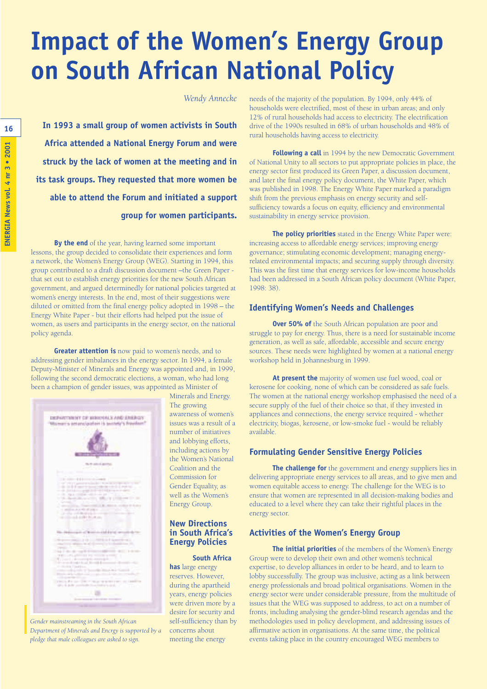## **Impact of the Women's Energy Group on South African National Policy**

*Wendy Annecke*

**In 1993 a small group of women activists in South Africa attended a National Energy Forum and were struck by the lack of women at the meeting and in its task groups. They requested that more women be able to attend the Forum and initiated a support group for women participants.** 

**By the end** of the year, having learned some important lessons, the group decided to consolidate their experiences and form a network, the Women's Energy Group (WEG). Starting in 1994, this group contributed to a draft discussion document –the Green Paper that set out to establish energy priorities for the new South African government, and argued determinedly for national policies targeted at women's energy interests. In the end, most of their suggestions were diluted or omitted from the final energy policy adopted in 1998 – the Energy White Paper - but their efforts had helped put the issue of women, as users and participants in the energy sector, on the national policy agenda.

**Greater attention is** now paid to women's needs, and to addressing gender imbalances in the energy sector. In 1994, a female Deputy-Minister of Minerals and Energy was appointed and, in 1999, following the second democratic elections, a woman, who had long been a champion of gender issues, was appointed as Minister of



*Gender mainstreaming in the South African Department of Minerals and Encrgy is supported by a pledge that male colleagues are asked to sign.*

Minerals and Energy. The growing awareness of women's issues was a result of a number of initiatives and lobbying efforts, including actions by the Women's National Coalition and the Commission for Gender Equality, as well as the Women's Energy Group.

#### **New Directions in South Africa's Energy Policies**

#### **South Africa**

**has** large energy reserves. However, during the apartheid years, energy policies were driven more by a desire for security and self-sufficiency than by concerns about meeting the energy

needs of the majority of the population. By 1994, only 44% of households were electrified, most of these in urban areas; and only 12% of rural households had access to electricity. The electrification drive of the 1990s resulted in 68% of urban households and 48% of rural households having access to electricity.

**Following a call** in 1994 by the new Democratic Government of National Unity to all sectors to put appropriate policies in place, the energy sector first produced its Green Paper, a discussion document, and later the final energy policy document, the White Paper, which was published in 1998. The Energy White Paper marked a paradigm shift from the previous emphasis on energy security and selfsufficiency towards a focus on equity, efficiency and environmental sustainability in energy service provision.

**The policy priorities** stated in the Energy White Paper were: increasing access to affordable energy services; improving energy governance; stimulating economic development; managing energyrelated environmental impacts; and securing supply through diversity. This was the first time that energy services for low-income households had been addressed in a South African policy document (White Paper, 1998: 38).

#### **Identifying Women's Needs and Challenges**

**Over 50% of** the South African population are poor and struggle to pay for energy. Thus, there is a need for sustainable income generation, as well as safe, affordable, accessible and secure energy sources. These needs were highlighted by women at a national energy workshop held in Johannesburg in 1999.

**At present the** majority of women use fuel wood, coal or kerosene for cooking, none of which can be considered as safe fuels. The women at the national energy workshop emphasised the need of a secure supply of the fuel of their choice so that, if they invested in appliances and connections, the energy service required - whether electricity, biogas, kerosene, or low-smoke fuel - would be reliably available.

#### **Formulating Gender Sensitive Energy Policies**

**The challenge for** the government and energy suppliers lies in delivering appropriate energy services to all areas, and to give men and women equitable access to energy. The challenge for the WEG is to ensure that women are represented in all decision-making bodies and educated to a level where they can take their rightful places in the energy sector.

#### **Activities of the Women's Energy Group**

**The initial priorities** of the members of the Women's Energy Group were to develop their own and other women's technical expertise, to develop alliances in order to be heard, and to learn to lobby successfully. The group was inclusive, acting as a link between energy professionals and broad political organisations. Women in the energy sector were under considerable pressure, from the multitude of issues that the WEG was supposed to address, to act on a number of fronts, including analysing the gender-blind research agendas and the methodologies used in policy development, and addressing issues of affirmative action in organisations. At the same time, the political events taking place in the country encouraged WEG members to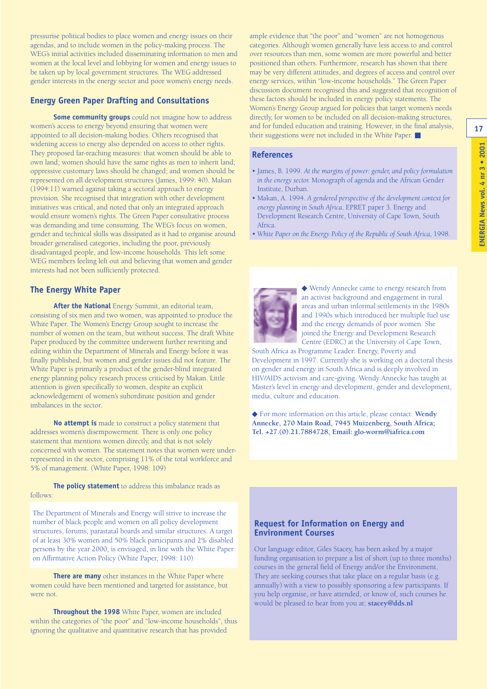pressurise political bodies to place women and energy issues on their agendas, and to include women in the policy-making process. The WEG's initial activities included disseminating information to men and women at the local level and lobbying for women and energy issues to be taken up by local government structures. The WEG addressed gender interests in the energy sector and poor women's energy needs.

#### **Energy Green Paper Drafting and Consultations**

**Some community groups** could not imagine how to address women's access to energy beyond ensuring that women were appointed to all decision-making bodies. Others recognised that widening access to energy also depended on access to other rights. They proposed far-reaching measures: that women should be able to own land; women should have the same rights as men to inherit land; oppressive customary laws should be changed; and women should be represented on all development structures (James, 1999: 40). Makan (1994:11) warned against taking a sectoral approach to energy provision. She recognised that integration with other development initiatives was critical, and noted that only an integrated approach would ensure women's rights. The Green Paper consultative process was demanding and time consuming. The WEG's focus on women, gender and technical skills was dissipated as it had to organise around broader generalised categories, including the poor, previously disadvantaged people, and low-income households. This left some WEG members feeling left out and believing that women and gender interests had not been sufficiently protected.

#### **The Energy White Paper**

**After the National** Energy Summit, an editorial team, consisting of six men and two women, was appointed to produce the White Paper. The Women's Energy Group sought to increase the number of women on the team, but without success. The draft White Paper produced by the committee underwent further rewriting and editing within the Department of Minerals and Energy before it was finally published, but women and gender issues did not feature. The White Paper is primarily a product of the gender-blind integrated energy planning policy research process criticised by Makan. Little attention is given specifically to women, despite an explicit acknowledgement of women's subordinate position and gender imbalances in the sector.

**No attempt is** made to construct a policy statement that addresses women's disempowerment. There is only one policy statement that mentions women directly, and that is not solely concerned with women. The statement notes that women were underrepresented in the sector, comprising 11% of the total workforce and 5% of management. (White Paper, 1998: 109)

**The policy statement** to address this imbalance reads as follows:

The Department of Minerals and Energy will strive to increase the number of black people and women on all policy development structures, forums, parastatal boards and similar structures. A target of at least 30% women and 50% black participants and 2% disabled persons by the year 2000, is envisaged, in line with the White Paper on Affirmative Action Policy (White Paper, 1998: 110)

**There are many** other instances in the White Paper where women could have been mentioned and targeted for assistance, but were not.

**Throughout the 1998** White Paper, women are included within the categories of "the poor" and "low-income households", thus ignoring the qualitative and quantitative research that has provided

ample evidence that "the poor" and "women" are not homogenous categories. Although women generally have less access to and control over resources than men, some women are more powerful and better positioned than others. Furthermore, research has shown that there may be very different attitudes, and degrees of access and control over energy services, within "low-income households." The Green Paper discussion document recognised this and suggested that recognition of these factors should be included in energy policy statements. The Women's Energy Group argued for policies that target women's needs directly, for women to be included on all decision-making structures, and for funded education and training. However, in the final analysis, their suggestions were not included in the White Paper. ■

#### **References**

- James, B. 1999. *At the margins of power: gender, and policy formulation in the energy sector.* Monograph of agenda and the African Gender Institute, Durban.
- Makan, A. 1994. *A gendered perspective of the development context for energy planning in South Africa*. EPRET paper 3. Energy and Development Research Centre, University of Cape Town, South Africa.
- White Paper on the Energy Policy of the Republic of South Africa, 1998.



◆ Wendy Annecke came to energy research from an activist background and engagement in rural areas and urban informal settlements in the 1980s and 1990s which introduced her multiple fuel use and the energy demands of poor women. She joined the Energy and Development Research Centre (EDRC) at the University of Cape Town,

South Africa as Programme Leader: Energy, Poverty and Development in 1997. Currently she is working on a doctoral thesis on gender and energy in South Africa and is deeply involved in HIV/AIDS activism and care-giving. Wendy Annecke has taught at Master's level in energy and development, gender and development, media, culture and education.

◆ For more information on this article, please contact: **Wendy Annecke, 270 Main Road, 7945 Muizenberg, South Africa; Tel. +27.(0).21.7884728, Email: glo-worm@iafrica.com**

#### **Request for Information on Energy and Environment Courses**

Our language editor, Giles Stacey, has been asked by a major funding organisation to prepare a list of short (up to three months) courses in the general field of Energy and/or the Environment. They are seeking courses that take place on a regular basis (e.g. annually) with a view to possibly sponsoring a few participants. If you help organise, or have attended, or know of, such courses he would be pleased to hear from you at: **stacey@dds.nl**

**17**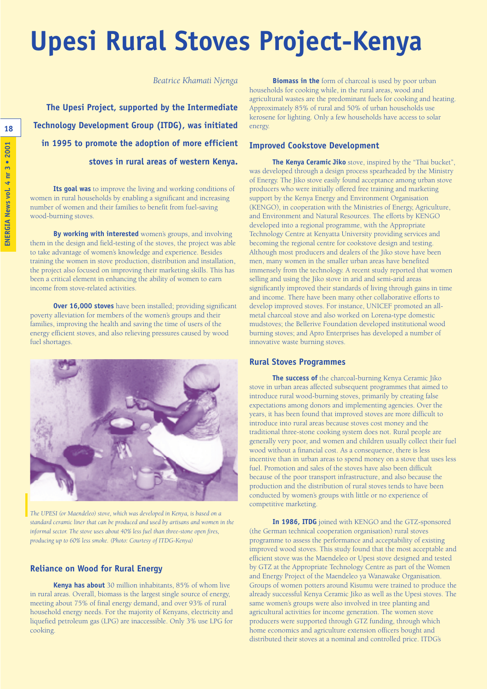# **Upesi Rural Stoves Project-Kenya**

*Beatrice Khamati Njenga*

**The Upesi Project, supported by the Intermediate Technology Development Group (ITDG), was initiated in 1995 to promote the adoption of more efficient stoves in rural areas of western Kenya.** 

**Its goal was** to improve the living and working conditions of women in rural households by enabling a significant and increasing number of women and their families to benefit from fuel-saving wood-burning stoves.

**By working with interested** women's groups, and involving them in the design and field-testing of the stoves, the project was able to take advantage of women's knowledge and experience. Besides training the women in stove production, distribution and installation, the project also focused on improving their marketing skills. This has been a critical element in enhancing the ability of women to earn income from stove-related activities.

**Over 16,000 stoves** have been installed; providing significant poverty alleviation for members of the women's groups and their families, improving the health and saving the time of users of the energy efficient stoves, and also relieving pressures caused by wood fuel shortages.



*The UPESI (or Maendeleo) stove, which was developed in Kenya, is based on a standard ceramic liner that can be produced and used by artisans and women in the informal sector. The stove uses about 40% less fuel than three-stone open fires, producing up to 60% less smoke. (Photo: Courtesy of ITDG-Kenya)*

#### **Reliance on Wood for Rural Energy**

**Kenya has about** 30 million inhabitants, 85% of whom live in rural areas. Overall, biomass is the largest single source of energy, meeting about 75% of final energy demand, and over 93% of rural household energy needs. For the majority of Kenyans, electricity and liquefied petroleum gas (LPG) are inaccessible. Only 3% use LPG for cooking.

**Biomass in the** form of charcoal is used by poor urban households for cooking while, in the rural areas, wood and agricultural wastes are the predominant fuels for cooking and heating. Approximately 85% of rural and 50% of urban households use kerosene for lighting. Only a few households have access to solar energy.

#### **Improved Cookstove Development**

**The Kenya Ceramic Jiko** stove, inspired by the "Thai bucket", was developed through a design process spearheaded by the Ministry of Energy. The Jiko stove easily found acceptance among urban stove producers who were initially offered free training and marketing support by the Kenya Energy and Environment Organisation (KENGO), in cooperation with the Ministries of Energy, Agriculture, and Environment and Natural Resources. The efforts by KENGO developed into a regional programme, with the Appropriate Technology Centre at Kenyatta University providing services and becoming the regional centre for cookstove design and testing. Although most producers and dealers of the Jiko stove have been men, many women in the smaller urban areas have benefited immensely from the technology. A recent study reported that women selling and using the Jiko stove in arid and semi-arid areas significantly improved their standards of living through gains in time and income. There have been many other collaborative efforts to develop improved stoves. For instance, UNICEF promoted an allmetal charcoal stove and also worked on Lorena-type domestic mudstoves; the Bellerive Foundation developed institutional wood burning stoves; and Apro Enterprises has developed a number of innovative waste burning stoves.

#### **Rural Stoves Programmes**

**The success of** the charcoal-burning Kenya Ceramic Jiko stove in urban areas affected subsequent programmes that aimed to introduce rural wood-burning stoves, primarily by creating false expectations among donors and implementing agencies. Over the years, it has been found that improved stoves are more difficult to introduce into rural areas because stoves cost money and the traditional three-stone cooking system does not. Rural people are generally very poor, and women and children usually collect their fuel wood without a financial cost. As a consequence, there is less incentive than in urban areas to spend money on a stove that uses less fuel. Promotion and sales of the stoves have also been difficult because of the poor transport infrastructure, and also because the production and the distribution of rural stoves tends to have been conducted by women's groups with little or no experience of competitive marketing.

**In 1986, ITDG** joined with KENGO and the GTZ-sponsored (the German technical cooperation organisation) rural stoves programme to assess the performance and acceptability of existing improved wood stoves. This study found that the most acceptable and efficient stove was the Maendeleo or Upesi stove designed and tested by GTZ at the Appropriate Technology Centre as part of the Women and Energy Project of the Maendeleo ya Wanawake Organisation. Groups of women potters around Kisumu were trained to produce the already successful Kenya Ceramic Jiko as well as the Upesi stoves. The same women's groups were also involved in tree planting and agricultural activities for income generation. The women stove producers were supported through GTZ funding, through which home economics and agriculture extension officers bought and distributed their stoves at a nominal and controlled price. ITDG's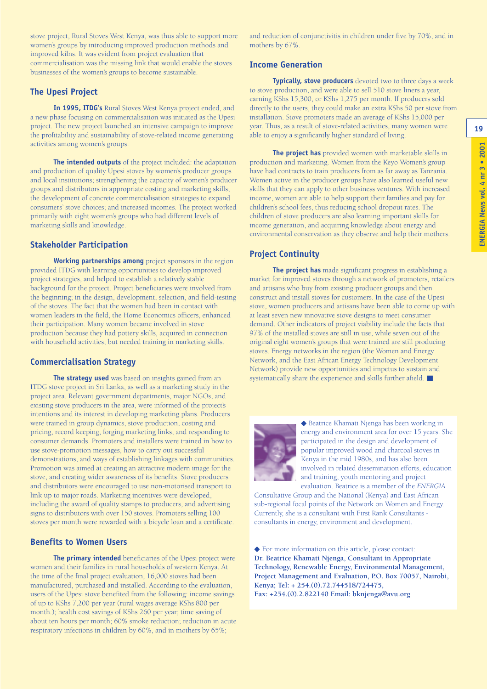**19**

stove project, Rural Stoves West Kenya, was thus able to support more women's groups by introducing improved production methods and improved kilns. It was evident from project evaluation that commercialisation was the missing link that would enable the stoves businesses of the women's groups to become sustainable.

#### **The Upesi Project**

**In 1995, ITDG's** Rural Stoves West Kenya project ended, and a new phase focusing on commercialisation was initiated as the Upesi project. The new project launched an intensive campaign to improve the profitability and sustainability of stove-related income generating activities among women's groups.

**The intended outputs** of the project included: the adaptation and production of quality Upesi stoves by women's producer groups and local institutions; strengthening the capacity of women's producer groups and distributors in appropriate costing and marketing skills; the development of concrete commercialisation strategies to expand consumers' stove choices; and increased incomes. The project worked primarily with eight women's groups who had different levels of marketing skills and knowledge.

#### **Stakeholder Participation**

**Working partnerships among** project sponsors in the region provided ITDG with learning opportunities to develop improved project strategies, and helped to establish a relatively stable background for the project. Project beneficiaries were involved from the beginning; in the design, development, selection, and field-testing of the stoves. The fact that the women had been in contact with women leaders in the field, the Home Economics officers, enhanced their participation. Many women became involved in stove production because they had pottery skills, acquired in connection with household activities, but needed training in marketing skills.

#### **Commercialisation Strategy**

**The strategy used** was based on insights gained from an ITDG stove project in Sri Lanka, as well as a marketing study in the project area. Relevant government departments, major NGOs, and existing stove producers in the area, were informed of the project's intentions and its interest in developing marketing plans. Producers were trained in group dynamics, stove production, costing and pricing, record keeping, forging marketing links, and responding to consumer demands. Promoters and installers were trained in how to use stove-promotion messages, how to carry out successful demonstrations, and ways of establishing linkages with communities. Promotion was aimed at creating an attractive modern image for the stove, and creating wider awareness of its benefits. Stove producers and distributors were encouraged to use non-motorised transport to link up to major roads. Marketing incentives were developed, including the award of quality stamps to producers, and advertising signs to distributors with over 150 stoves. Promoters selling 100 stoves per month were rewarded with a bicycle loan and a certificate.

#### **Benefits to Women Users**

**The primary intended** beneficiaries of the Upesi project were women and their families in rural households of western Kenya. At the time of the final project evaluation, 16,000 stoves had been manufactured, purchased and installed. According to the evaluation, users of the Upesi stove benefited from the following: income savings of up to KShs 7,200 per year (rural wages average KShs 800 per month.); health cost savings of KShs 260 per year; time saving of about ten hours per month; 60% smoke reduction; reduction in acute respiratory infections in children by 60%, and in mothers by 65%;

and reduction of conjunctivitis in children under five by 70%, and in mothers by 67%.

#### **Income Generation**

**Typically, stove producers** devoted two to three days a week to stove production, and were able to sell 510 stove liners a year, earning KShs 15,300, or KShs 1,275 per month. If producers sold directly to the users, they could make an extra KShs 50 per stove from installation. Stove promoters made an average of KShs 15,000 per year. Thus, as a result of stove-related activities, many women were able to enjoy a significantly higher standard of living.

**The project has** provided women with marketable skills in production and marketing. Women from the Keyo Women's group have had contracts to train producers from as far away as Tanzania. Women active in the producer groups have also learned useful new skills that they can apply to other business ventures. With increased income, women are able to help support their families and pay for children's school fees, thus reducing school dropout rates. The children of stove producers are also learning important skills for income generation, and acquiring knowledge about energy and environmental conservation as they observe and help their mothers.

#### **Project Continuity**

**The project has** made significant progress in establishing a market for improved stoves through a network of promoters, retailers and artisans who buy from existing producer groups and then construct and install stoves for customers. In the case of the Upesi stove, women producers and artisans have been able to come up with at least seven new innovative stove designs to meet consumer demand. Other indicators of project viability include the facts that 97% of the installed stoves are still in use, while seven out of the original eight women's groups that were trained are still producing stoves. Energy networks in the region (the Women and Energy Network, and the East African Energy Technology Development Network) provide new opportunities and impetus to sustain and systematically share the experience and skills further afield. ■



◆ Beatrice Khamati Njenga has been working in energy and environment area for over 15 years. She participated in the design and development of popular improved wood and charcoal stoves in Kenya in the mid 1980s, and has also been involved in related dissemination efforts, education and training, youth mentoring and project evaluation. Beatrice is a member of the *ENERGIA*

Consultative Group and the National (Kenya) and East African sub-regional focal points of the Network on Women and Energy. Currently, she is a consultant with First Rank Consultants consultants in energy, environment and development.

◆ For more information on this article, please contact: **Dr. Beatrice Khamati Njenga, Consultant in Appropriate Technology, Renewable Energy, Environmental Management, Project Management and Evaluation, P.O. Box 70057, Nairobi, Kenya; Tel: + 254.(0).72.744518/724475, Fax: +254.(0).2.822140 Email: bknjenga@avu.org**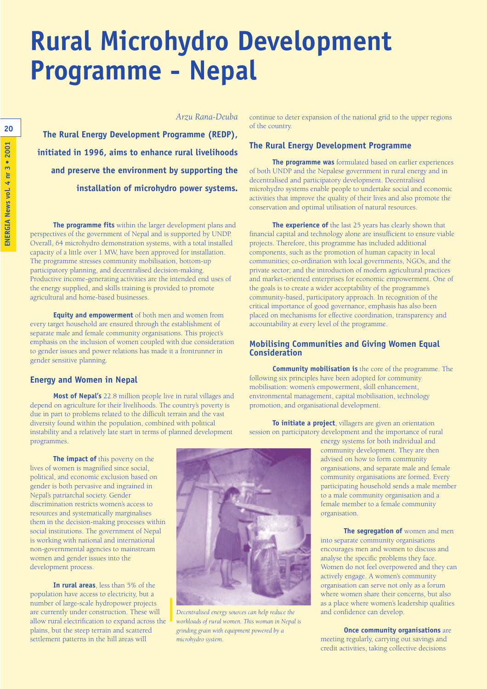# **Rural Microhydro Development Programme - Nepal**

*Arzu Rana-Deuba*

**The Rural Energy Development Programme (REDP), initiated in 1996, aims to enhance rural livelihoods and preserve the environment by supporting the installation of microhydro power systems.** 

**The programme fits** within the larger development plans and perspectives of the government of Nepal and is supported by UNDP. Overall, 64 microhydro demonstration systems, with a total installed capacity of a little over 1 MW, have been approved for installation. The programme stresses community mobilisation, bottom-up participatory planning, and decentralised decision-making. Productive income-generating activities are the intended end uses of the energy supplied, and skills training is provided to promote agricultural and home-based businesses.

**Equity and empowerment** of both men and women from every target household are ensured through the establishment of separate male and female community organisations. This project's emphasis on the inclusion of women coupled with due consideration to gender issues and power relations has made it a frontrunner in gender sensitive planning.

#### **Energy and Women in Nepal**

**Most of Nepal's** 22.8 million people live in rural villages and depend on agriculture for their livelihoods. The country's poverty is due in part to problems related to the difficult terrain and the vast diversity found within the population, combined with political instability and a relatively late start in terms of planned development programmes.

**The impact of** this poverty on the lives of women is magnified since social, political, and economic exclusion based on gender is both pervasive and ingrained in Nepal's patriarchal society. Gender discrimination restricts women's access to resources and systematically marginalises them in the decision-making processes within social institutions. The government of Nepal is working with national and international non-governmental agencies to mainstream women and gender issues into the development process.

**In rural areas**, less than 5% of the population have access to electricity, but a number of large-scale hydropower projects are currently under construction. These will allow rural electrification to expand across the plains, but the steep terrain and scattered settlement patterns in the hill areas will



*Decentralised energy sources can help reduce the workloads of rural women. This woman in Nepal is grinding grain with equipment powered by a microhydro system.*

continue to deter expansion of the national grid to the upper regions of the country.

#### **The Rural Energy Development Programme**

**The programme was** formulated based on earlier experiences of both UNDP and the Nepalese government in rural energy and in decentralised and participatory development. Decentralised microhydro systems enable people to undertake social and economic activities that improve the quality of their lives and also promote the conservation and optimal utilisation of natural resources.

**The experience of** the last 25 years has clearly shown that financial capital and technology alone are insufficient to ensure viable projects. Therefore, this programme has included additional components, such as the promotion of human capacity in local communities; co-ordination with local governments, NGOs, and the private sector; and the introduction of modern agricultural practices and market-oriented enterprises for economic empowerment. One of the goals is to create a wider acceptability of the programme's community-based, participatory approach. In recognition of the critical importance of good governance, emphasis has also been placed on mechanisms for effective coordination, transparency and accountability at every level of the programme.

#### **Mobilising Communities and Giving Women Equal Consideration**

**Community mobilisation is** the core of the programme. The following six principles have been adopted for community mobilisation: women's empowerment, skill enhancement, environmental management, capital mobilisation, technology promotion, and organisational development.

**To initiate a project**, villagers are given an orientation session on participatory development and the importance of rural

energy systems for both individual and community development. They are then advised on how to form community organisations, and separate male and female community organisations are formed. Every participating household sends a male member to a male community organisation and a female member to a female community organisation.

**The segregation of** women and men into separate community organisations encourages men and women to discuss and analyse the specific problems they face. Women do not feel overpowered and they can actively engage. A women's community organisation can serve not only as a forum where women share their concerns, but also as a place where women's leadership qualities and confidence can develop.

**Once community organisations** are meeting regularly, carrying out savings and credit activities, taking collective decisions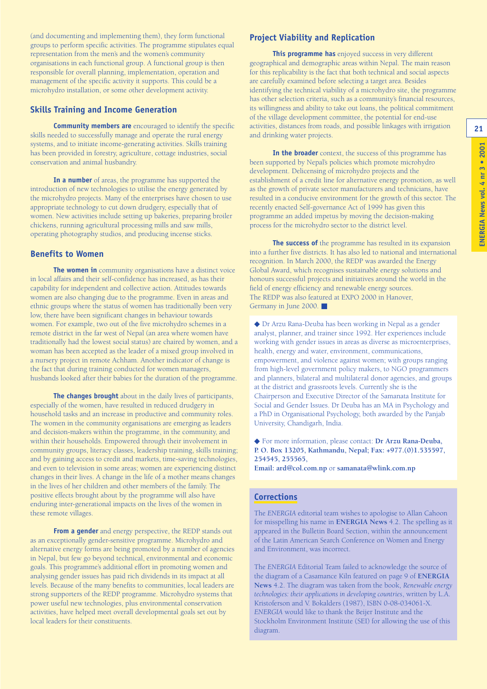**21**

(and documenting and implementing them), they form functional groups to perform specific activities. The programme stipulates equal representation from the men's and the women's community organisations in each functional group. A functional group is then responsible for overall planning, implementation, operation and management of the specific activity it supports. This could be a microhydro installation, or some other development activity.

#### **Skills Training and Income Generation**

**Community members are** encouraged to identify the specific skills needed to successfully manage and operate the rural energy systems, and to initiate income-generating activities. Skills training has been provided in forestry, agriculture, cottage industries, social conservation and animal husbandry.

**In a number** of areas, the programme has supported the introduction of new technologies to utilise the energy generated by the microhydro projects. Many of the enterprises have chosen to use appropriate technology to cut down drudgery, especially that of women. New activities include setting up bakeries, preparing broiler chickens, running agricultural processing mills and saw mills, operating photography studios, and producing incense sticks.

#### **Benefits to Women**

**The women in** community organisations have a distinct voice in local affairs and their self-confidence has increased, as has their capability for independent and collective action. Attitudes towards women are also changing due to the programme. Even in areas and ethnic groups where the status of women has traditionally been very low, there have been significant changes in behaviour towards women. For example, two out of the five microhydro schemes in a remote district in the far west of Nepal (an area where women have traditionally had the lowest social status) are chaired by women, and a woman has been accepted as the leader of a mixed group involved in a nursery project in remote Achham. Another indicator of change is the fact that during training conducted for women managers, husbands looked after their babies for the duration of the programme.

**The changes brought** about in the daily lives of participants, especially of the women, have resulted in reduced drudgery in household tasks and an increase in productive and community roles. The women in the community organisations are emerging as leaders and decision-makers within the programme, in the community, and within their households. Empowered through their involvement in community groups, literacy classes, leadership training, skills training; and by gaining access to credit and markets, time-saving technologies, and even to television in some areas; women are experiencing distinct changes in their lives. A change in the life of a mother means changes in the lives of her children and other members of the family. The positive effects brought about by the programme will also have enduring inter-generational impacts on the lives of the women in these remote villages.

**From a gender** and energy perspective, the REDP stands out as an exceptionally gender-sensitive programme. Microhydro and alternative energy forms are being promoted by a number of agencies in Nepal, but few go beyond technical, environmental and economic goals. This programme's additional effort in promoting women and analysing gender issues has paid rich dividends in its impact at all levels. Because of the many benefits to communities, local leaders are strong supporters of the REDP programme. Microhydro systems that power useful new technologies, plus environmental conservation activities, have helped meet overall developmental goals set out by local leaders for their constituents.

#### **Project Viability and Replication**

**This programme has** enjoyed success in very different geographical and demographic areas within Nepal. The main reason for this replicability is the fact that both technical and social aspects are carefully examined before selecting a target area. Besides identifying the technical viability of a microhydro site, the programme has other selection criteria, such as a community's financial resources, its willingness and ability to take out loans, the political commitment of the village development committee, the potential for end-use activities, distances from roads, and possible linkages with irrigation and drinking water projects.

**In the broader** context, the success of this programme has been supported by Nepal's policies which promote microhydro development. Delicensing of microhydro projects and the establishment of a credit line for alternative energy promotion, as well as the growth of private sector manufacturers and technicians, have resulted in a conducive environment for the growth of this sector. The recently enacted Self-governance Act of 1999 has given this programme an added impetus by moving the decision-making process for the microhydro sector to the district level.

**The success of** the programme has resulted in its expansion into a further five districts. It has also led to national and international recognition. In March 2000, the REDP was awarded the Energy Global Award, which recognises sustainable energy solutions and honours successful projects and initiatives around the world in the field of energy efficiency and renewable energy sources. The REDP was also featured at EXPO 2000 in Hanover, Germany in June 2000. ■

◆ Dr Arzu Rana-Deuba has been working in Nepal as a gender analyst, planner, and trainer since 1992. Her experiences include working with gender issues in areas as diverse as microenterprises, health, energy and water, environment, communications, empowerment, and violence against women; with groups ranging from high-level government policy makers, to NGO programmers and planners, bilateral and multilateral donor agencies, and groups at the district and grassroots levels. Currently she is the Chairperson and Executive Director of the Samanata Institute for Social and Gender Issues. Dr Deuba has an MA in Psychology and a PhD in Organisational Psychology, both awarded by the Panjab University, Chandigarh, India.

◆ For more information, please contact: **Dr Arzu Rana-Deuba, P. O. Box 13205, Kathmandu, Nepal; Fax: +977.(0)1.535597, 254545, 255565,** 

**Email: ard@col.com.np** or **samanata@wlink.com.np**

#### **Corrections**

The *ENERGIA* editorial team wishes to apologise to Allan Cahoon for misspelling his name in **ENERGIA News** 4.2. The spelling as it appeared in the Bulletin Board Section, within the announcement of the Latin American Search Conference on Women and Energy and Environment, was incorrect.

The *ENERGIA* Editorial Team failed to acknowledge the source of the diagram of a Casamance Kiln featured on page 9 of **ENERGIA News** 4.2. The diagram was taken from the book, *Renewable energy technologies: their applications in developing countries*, written by L.A. Kristoferson and V. Bokalders (1987), ISBN 0-08-034061-X. *ENERGIA* would like to thank the Beijer Institute and the Stockholm Environment Institute (SEI) for allowing the use of this diagram.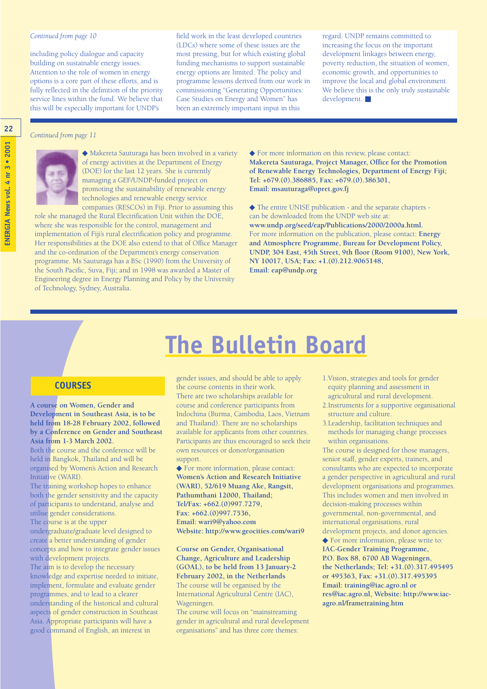#### *Continued from page 10*

including policy dialogue and capacity building on sustainable energy issues. Attention to the role of women in energy options is a core part of these efforts, and is fully reflected in the definition of the priority service lines within the fund. We believe that this will be especially important for UNDP's

field work in the least developed countries (LDCs) where some of these issues are the most pressing, but for which existing global funding mechanisms to support sustainable energy options are limited. The policy and programme lessons derived from our work in commissioning "Generating Opportunities: Case Studies on Energy and Women" has been an extremely important input in this

regard. UNDP remains committed to increasing the focus on the important development linkages between energy, poverty reduction, the situation of women, economic growth, and opportunities to improve the local and global environment. We believe this is the only truly sustainable development. ■

#### *Continued from page 11*



◆ Makereta Sauturaga has been involved in a variety of energy activities at the Department of Energy (DOE) for the last 12 years. She is currently managing a GEF/UNDP-funded project on promoting the sustainability of renewable energy technologies and renewable energy service companies (RESCOs) in Fiji. Prior to assuming this

role she managed the Rural Electrification Unit within the DOE, where she was responsible for the control, management and implementation of Fiji's rural electrification policy and programme. Her responsibilities at the DOE also extend to that of Office Manager and the co-ordination of the Department's energy conservation programme. Ms Sauturaga has a BSc (1990) from the University of the South Pacific, Suva, Fiji; and in 1998 was awarded a Master of Engineering degree in Energy Planning and Policy by the University of Technology, Sydney, Australia.

◆ For more information on this review, please contact: **Makereta Sauturaga, Project Manager, Office for the Promotion of Renewable Energy Technologies, Department of Energy Fiji; Tel: +679.(0).386885, Fax: +679.(0).386301, Email: msauturaga@opret.gov.fj**

◆ The entire UNISE publication - and the separate chapters can be downloaded from the UNDP web site at: **www.undp.org/seed/eap/Publications/2000/2000a.html.**  For more information on the publication, please contact: **Energy and Atmosphere Programme, Bureau for Development Policy, UNDP, 304 East, 45th Street, 9th floor (Room 9100), New York, NY 10017, USA; Fax: +1.(0).212.9065148, Email: eap@undp.org**

#### **COURSES**

#### **A course on Women, Gender and Development in Southeast Asia, is to be held from 18-28 February 2002, followed by a Conference on Gender and Southeast Asia from 1-3 March 2002.**

Both the course and the conference will be held in Bangkok, Thailand and will be organised by Women's Action and Research Initiative (WARI).

The training workshop hopes to enhance both the gender sensitivity and the capacity of participants to understand, analyse and utilise gender considerations.

The course is at the upper undergraduate/graduate level designed to create a better understanding of gender concepts and how to integrate gender issues with development projects. The aim is to develop the necessary knowledge and expertise needed to initiate, implement, formulate and evaluate gender programmes, and to lead to a clearer understanding of the historical and cultural aspects of gender construction in Southeast Asia. Appropriate participants will have a good command of English, an interest in

#### gender issues, and should be able to apply the course contents in their work. There are two scholarships available for course and conference participants from Indochina (Burma, Cambodia, Laos, Vietnam and Thailand). There are no scholarships available for applicants from other countries. Participants are thus encouraged to seek their own resources or donor/organisation support.

**The Bulletin Board**

◆ For more information, please contact: **Women's Action and Research Initiative (WARI), 52/619 Muang Ake, Rangsit, Pathumthani 12000, Thailand; Tel/Fax: +662.(0)997.7279, Fax: +662.(0)997.7536, Email: wari9@yahoo.com Website: http://www.geocities.com/wari9**

**Course on Gender, Organisational Change, Agriculture and Leadership (GOAL), to be held from 13 January-2 February 2002, in the Netherlands** The course will be organised by the

International Agricultural Centre (IAC), Wageningen.

The course will focus on "mainstreaming gender in agricultural and rural development organisations" and has three core themes:

- 1.Vision, strategies and tools for gender equity planning and assessment in agricultural and rural development.
- 2.Instruments for a supportive organisational structure and culture.
- 3.Leadership, facilitation techniques and methods for managing change processes within organisations.

The course is designed for those managers, senior staff, gender experts, trainers, and consultants who are expected to incorporate a gender perspective in agricultural and rural development organisations and programmes. This includes women and men involved in decision-making processes within governmental, non-governmental, and international organisations, rural development projects, and donor agencies. ◆ For more information, please write to: **IAC-Gender Training Programme, P.O. Box 88, 6700 AB Wageningen, the Netherlands; Tel: +31.(0).317.495495 or 495363, Fax: +31.(0).317.495395 Email: training@iac.agro.nl or res@iac.agro.nl, Website: http://www.iacagro.nl/frametraining.htm**

**22**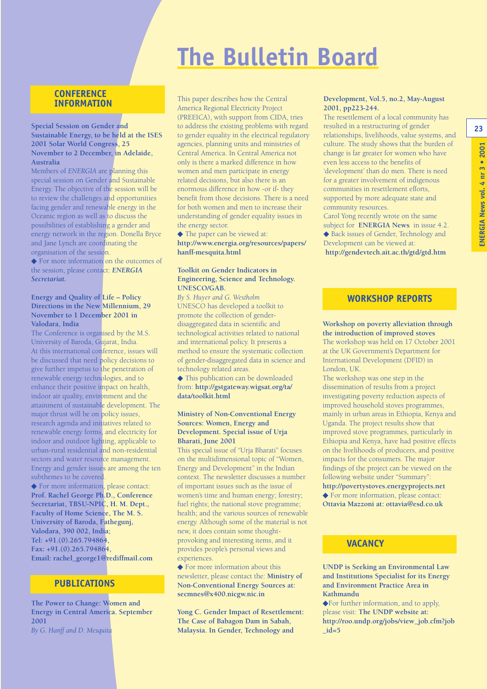### **The Bulletin Board**

#### **CONFERENCE INFORMATION**

#### **Special Session on Gender and Sustainable Energy, to be held at the ISES 2001 Solar World Congress, 25 November to 2 December, in Adelaide, Australia**

Members of *ENERGIA* are planning this special session on Gender and Sustainable Energy. The objective of the session will be to review the challenges and opportunities facing gender and renewable energy in the Oceanic region as well as to discuss the possibilities of establishing a gender and energy network in the region. Donella Bryce and Jane Lynch are coordinating the organisation of the session.

◆ For more information on the outcomes of the session, please contact: *ENERGIA Secretariat.*

#### **Energy and Quality of Life – Policy Directions in the New Millennium, 29 November to 1 December 2001 in Valodara, India**

The Conference is organised by the M.S. University of Baroda, Gujarat, India. At this international conference, issues will be discussed that need policy decisions to give further impetus to the penetration of renewable energy technologies, and to enhance their positive impact on health, indoor air quality, environment and the attainment of sustainable development. The major thrust will be on policy issues, research agenda and initiatives related to renewable energy forms, and electricity for indoor and outdoor lighting, applicable to urban-rural residential and non-residential sectors and water resource management. Energy and gender issues are among the ten subthemes to be covered.

◆ For more information, please contact: **Prof. Rachel George Ph.D., Conference Secretariat, TBSU-NPIC, H. M. Dept., Faculty of Home Science, The M. S. University of Baroda, Fathegunj, Valodara, 390 002, India; Tel: +91.(0).265.794864, Fax: +91.(0).265.794864, Email: rachel\_george1@rediffmail.com**

#### **PUBLICATIONS**

**The Power to Change: Women and Energy in Central America. September 2001** *By G. Hanff and D. Mesquita*

This paper describes how the Central America Regional Electricity Project (PREEICA), with support from CIDA, tries to address the existing problems with regard to gender equality in the electrical regulatory agencies, planning units and ministries of Central America. In Central America not only is there a marked difference in how women and men participate in energy related decisions, but also there is an enormous difference in how -or if- they benefit from those decisions. There is a need for both women and men to increase their understanding of gender equality issues in the energy sector.

◆ The paper can be viewed at: **http://www.energia.org/resources/papers/ hanff-mesquita.html**

#### **Toolkit on Gender Indicators in Engineering, Science and Technology. UNESCO/GAB.**

*By S. Huyer and G. Westholm* UNESCO has developed a toolkit to promote the collection of genderdisaggregated data in scientific and technological activities related to national and international policy. It presents a method to ensure the systematic collection of gender-disaggregated data in science and technology related areas.

◆ This publication can be downloaded from: **http://gstgateway.wigsat.org/ta/ data/toolkit.html**

#### **Ministry of Non-Conventional Energy Sources: Women, Energy and Development. Special issue of Urja Bharati, June 2001**

This special issue of "Urja Bharati" focuses on the multidimensional topic of "Women, Energy and Development" in the Indian context. The newsletter discusses a number of important issues such as the issue of women's time and human energy; forestry; fuel rights; the national stove programme; health; and the various sources of renewable energy. Although some of the material is not new, it does contain some thoughtprovoking and interesting items, and it provides people's personal views and experiences.

◆ For more information about this newsletter, please contact the: **Ministry of Non-Conventional Energy Sources at: secmnes@x400.nicgw.nic.in**

**Yong C. Gender Impact of Resettlement: The Case of Babagon Dam in Sabah, Malaysia. In Gender, Technology and**

#### **Development, Vol.5, no.2, May-August 2001, pp223-244.**

The resettlement of a local community has resulted in a restructuring of gender relationships, livelihoods, value systems, and culture. The study shows that the burden of change is far greater for women who have even less access to the benefits of 'development' than do men. There is need for a greater involvement of indigenous communities in resettlement efforts, supported by more adequate state and community resources.

Carol Yong recently wrote on the same subject for **ENERGIA News** in issue 4.2. ◆ Back issues of Gender, Technology and Development can be viewed at: **http://gendevtech.ait.ac.th/gtd/gtd.htm**

#### **WORKSHOP REPORTS**

#### **Workshop on poverty alleviation through the introduction of improved stoves**

The workshop was held on 17 October 2001 at the UK Government's Department for International Development (DFID) in London, UK.

The workshop was one step in the dissemination of results from a project investigating poverty reduction aspects of improved household stoves programmes, mainly in urban areas in Ethiopia, Kenya and Uganda. The project results show that improved stove programmes, particularly in Ethiopia and Kenya, have had positive effects on the livelihoods of producers, and positive impacts for the consumers. The major findings of the project can be viewed on the following website under "Summary": **http://povertystoves.energyprojects.net**

◆ For more information, please contact: **Ottavia Mazzoni at: ottavia@esd.co.uk**

#### **VACANCY**

**UNDP is Seeking an Environmental Law and Institutions Specialist for its Energy and Environment Practice Area in Kathmandu**

◆For further information, and to apply, please visit: **The UNDP website at: http://roo.undp.org/jobs/view\_job.cfm?job \_id=5**